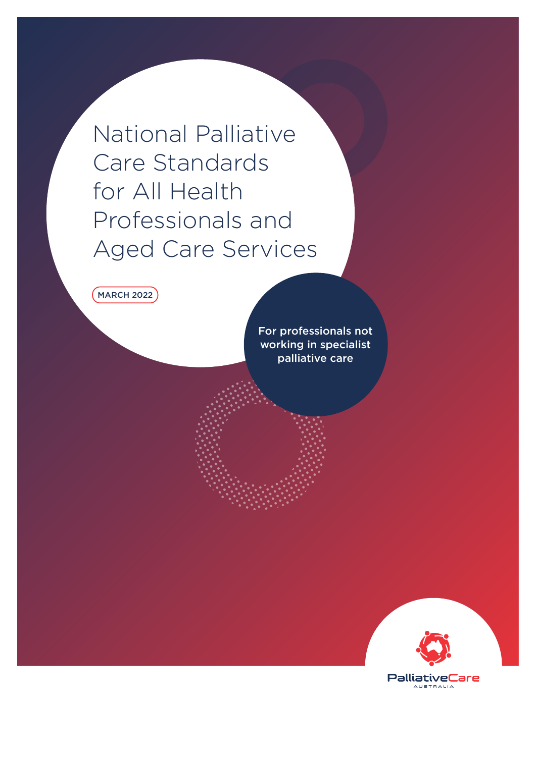National Palliative Care Standards for All Health Professionals and Aged Care Services

MARCH 2022

For professionals not working in specialist palliative care

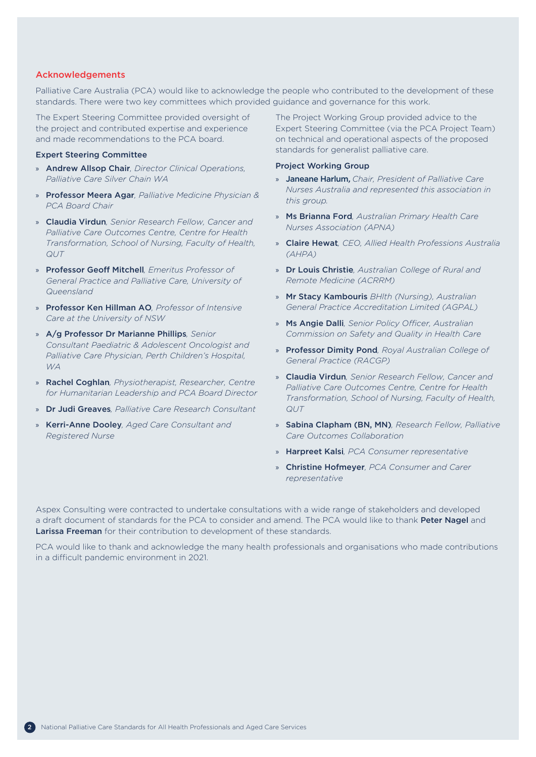### Acknowledgements

Palliative Care Australia (PCA) would like to acknowledge the people who contributed to the development of these standards. There were two key committees which provided guidance and governance for this work.

The Expert Steering Committee provided oversight of the project and contributed expertise and experience and made recommendations to the PCA board.

### Expert Steering Committee

- » Andrew Allsop Chair*, Director Clinical Operations, Palliative Care Silver Chain WA*
- » Professor Meera Agar*, Palliative Medicine Physician & PCA Board Chair*
- » Claudia Virdun*, Senior Research Fellow, Cancer and Palliative Care Outcomes Centre, Centre for Health Transformation, School of Nursing, Faculty of Health, QUT*
- » Professor Geoff Mitchell*, Emeritus Professor of General Practice and Palliative Care, University of Queensland*
- » Professor Ken Hillman AO*, Professor of Intensive Care at the University of NSW*
- » A/g Professor Dr Marianne Phillips*, Senior Consultant Paediatric & Adolescent Oncologist and Palliative Care Physician, Perth Children's Hospital, WA*
- » Rachel Coghlan*, Physiotherapist, Researcher, Centre for Humanitarian Leadership and PCA Board Director*
- » Dr Judi Greaves*, Palliative Care Research Consultant*
- » Kerri-Anne Dooley*, Aged Care Consultant and Registered Nurse*

The Project Working Group provided advice to the Expert Steering Committee (via the PCA Project Team) on technical and operational aspects of the proposed standards for generalist palliative care.

#### Project Working Group

- » Janeane Harlum, *Chair, President of Palliative Care Nurses Australia and represented this association in this group.*
- » Ms Brianna Ford*, Australian Primary Health Care Nurses Association (APNA)*
- » Claire Hewat*, CEO, Allied Health Professions Australia (AHPA)*
- » Dr Louis Christie*, Australian College of Rural and Remote Medicine (ACRRM)*
- » Mr Stacy Kambouris *BHlth (Nursing), Australian General Practice Accreditation Limited (AGPAL)*
- » Ms Angie Dalli*, Senior Policy Officer, Australian Commission on Safety and Quality in Health Care*
- » Professor Dimity Pond*, Royal Australian College of General Practice (RACGP)*
- » Claudia Virdun*, Senior Research Fellow, Cancer and Palliative Care Outcomes Centre, Centre for Health Transformation, School of Nursing, Faculty of Health, QUT*
- » Sabina Clapham (BN, MN)*, Research Fellow, Palliative Care Outcomes Collaboration*
- » Harpreet Kalsi*, PCA Consumer representative*
- » Christine Hofmeyer*, PCA Consumer and Carer representative*

Aspex Consulting were contracted to undertake consultations with a wide range of stakeholders and developed a draft document of standards for the PCA to consider and amend. The PCA would like to thank Peter Nagel and Larissa Freeman for their contribution to development of these standards.

PCA would like to thank and acknowledge the many health professionals and organisations who made contributions in a difficult pandemic environment in 2021.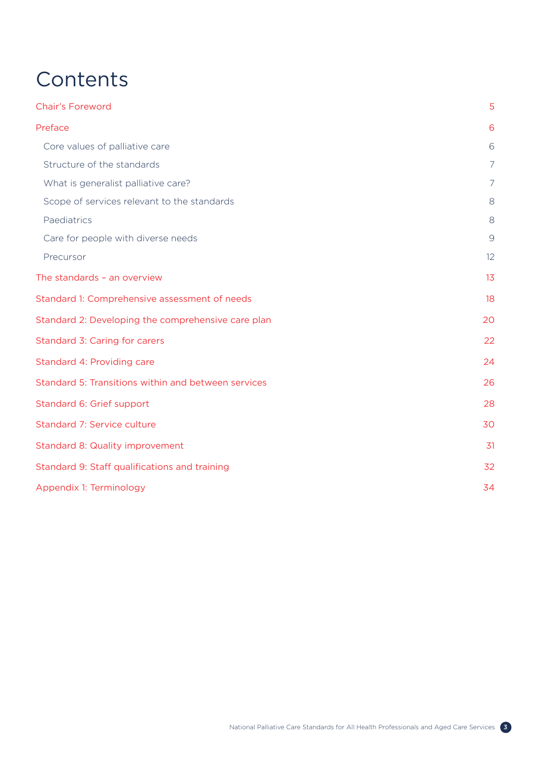# **Contents**

| <b>Chair's Foreword</b>                             | 5              |
|-----------------------------------------------------|----------------|
| Preface                                             | 6              |
| Core values of palliative care                      | 6              |
| Structure of the standards                          | $\overline{7}$ |
| What is generalist palliative care?                 | $\overline{7}$ |
| Scope of services relevant to the standards         | 8              |
| Paediatrics                                         | 8              |
| Care for people with diverse needs                  | $\mathcal{G}$  |
| Precursor                                           | 12             |
| The standards - an overview                         | 13             |
| Standard 1: Comprehensive assessment of needs       | 18             |
| Standard 2: Developing the comprehensive care plan  | 20             |
| Standard 3: Caring for carers                       | 22             |
| Standard 4: Providing care                          | 24             |
| Standard 5: Transitions within and between services | 26             |
| Standard 6: Grief support                           | 28             |
| Standard 7: Service culture                         | 30             |
| <b>Standard 8: Quality improvement</b>              | 31             |
| Standard 9: Staff qualifications and training       | 32             |
| Appendix 1: Terminology                             | 34             |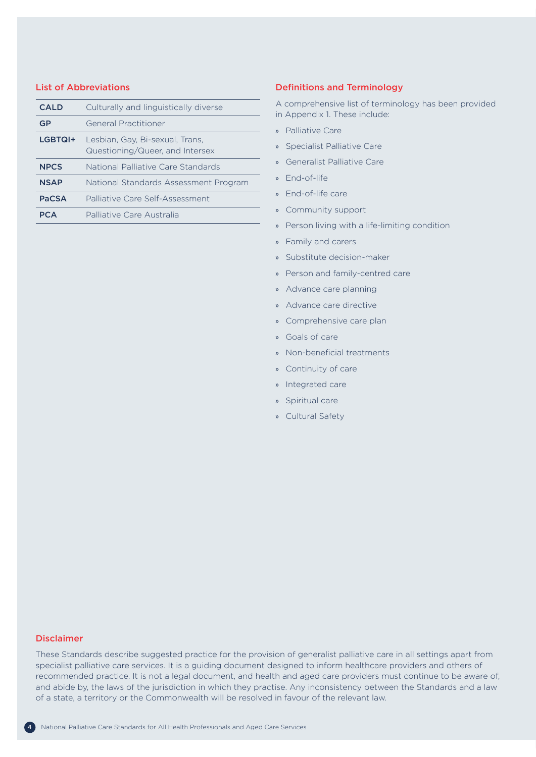### List of Abbreviations

| <b>CALD</b>  | Culturally and linguistically diverse                              |
|--------------|--------------------------------------------------------------------|
| GP           | General Practitioner                                               |
| LGBTQI+      | Lesbian, Gay, Bi-sexual, Trans,<br>Questioning/Queer, and Intersex |
| <b>NPCS</b>  | National Palliative Care Standards                                 |
| <b>NSAP</b>  | National Standards Assessment Program                              |
| <b>PaCSA</b> | Palliative Care Self-Assessment                                    |
|              | Palliative Care Australia                                          |

### Definitions and Terminology

A comprehensive list of terminology has been provided in Appendix 1. These include:

- » Palliative Care
- » Specialist Palliative Care
- » Generalist Palliative Care
- » End-of-life
- » End-of-life care
- » Community support
- » Person living with a life-limiting condition
- » Family and carers
- » Substitute decision-maker
- » Person and family-centred care
- » Advance care planning
- » Advance care directive
- » Comprehensive care plan
- » Goals of care
- » Non-beneficial treatments
- » Continuity of care
- » Integrated care
- » Spiritual care
- » Cultural Safety

### Disclaimer

These Standards describe suggested practice for the provision of generalist palliative care in all settings apart from specialist palliative care services. It is a guiding document designed to inform healthcare providers and others of recommended practice. It is not a legal document, and health and aged care providers must continue to be aware of, and abide by, the laws of the jurisdiction in which they practise. Any inconsistency between the Standards and a law of a state, a territory or the Commonwealth will be resolved in favour of the relevant law.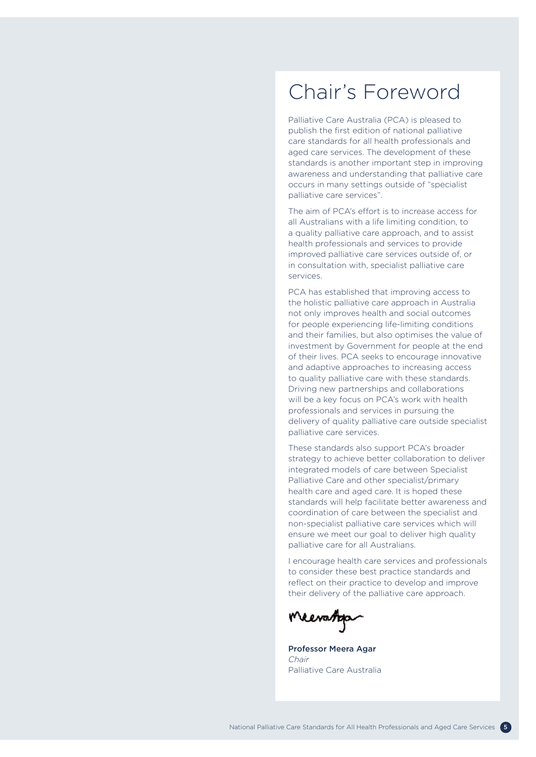## <span id="page-4-0"></span>Chair's Foreword

Palliative Care Australia (PCA) is pleased to publish the first edition of national palliative care standards for all health professionals and aged care services. The development of these standards is another important step in improving awareness and understanding that palliative care occurs in many settings outside of "specialist palliative care services".

The aim of PCA's effort is to increase access for all Australians with a life limiting condition, to a quality palliative care approach, and to assist health professionals and services to provide improved palliative care services outside of, or in consultation with, specialist palliative care services.

PCA has established that improving access to the holistic palliative care approach in Australia not only improves health and social outcomes for people experiencing life-limiting conditions and their families, but also optimises the value of investment by Government for people at the end of their lives. PCA seeks to encourage innovative and adaptive approaches to increasing access to quality palliative care with these standards. Driving new partnerships and collaborations will be a key focus on PCA's work with health professionals and services in pursuing the delivery of quality palliative care outside specialist palliative care services.

These standards also support PCA's broader strategy to achieve better collaboration to deliver integrated models of care between Specialist Palliative Care and other specialist/primary health care and aged care. It is hoped these standards will help facilitate better awareness and coordination of care between the specialist and non-specialist palliative care services which will ensure we meet our goal to deliver high quality palliative care for all Australians.

I encourage health care services and professionals to consider these best practice standards and reflect on their practice to develop and improve their delivery of the palliative care approach.

Meeratop

Professor Meera Agar *Chair* Palliative Care Australia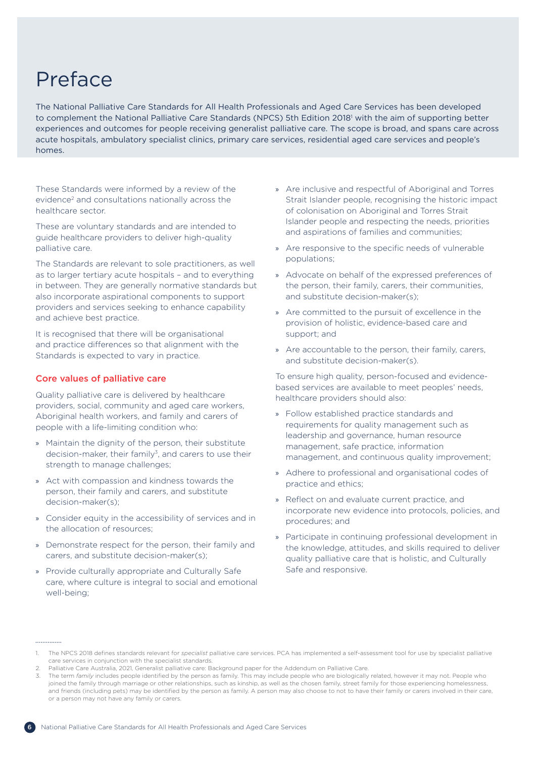# <span id="page-5-0"></span>Preface

The National Palliative Care Standards for All Health Professionals and Aged Care Services has been developed to complement the National Palliative Care Standards (NPCS) 5th Edition 2018<sup>1</sup> with the aim of supporting better experiences and outcomes for people receiving generalist palliative care. The scope is broad, and spans care across acute hospitals, ambulatory specialist clinics, primary care services, residential aged care services and people's homes.

These Standards were informed by a review of the evidence<sup>2</sup> and consultations nationally across the healthcare sector.

These are voluntary standards and are intended to guide healthcare providers to deliver high-quality palliative care.

The Standards are relevant to sole practitioners, as well as to larger tertiary acute hospitals – and to everything in between. They are generally normative standards but also incorporate aspirational components to support providers and services seeking to enhance capability and achieve best practice.

It is recognised that there will be organisational and practice differences so that alignment with the Standards is expected to vary in practice.

### Core values of palliative care

. . . . . . . . . . . . . .

Quality palliative care is delivered by healthcare providers, social, community and aged care workers, Aboriginal health workers, and family and carers of people with a life-limiting condition who:

- » Maintain the dignity of the person, their substitute decision-maker, their family<sup>3</sup>, and carers to use their strength to manage challenges;
- » Act with compassion and kindness towards the person, their family and carers, and substitute decision-maker(s);
- » Consider equity in the accessibility of services and in the allocation of resources;
- » Demonstrate respect for the person, their family and carers, and substitute decision-maker(s);
- » Provide culturally appropriate and Culturally Safe care, where culture is integral to social and emotional well-being;
- » Are inclusive and respectful of Aboriginal and Torres Strait Islander people, recognising the historic impact of colonisation on Aboriginal and Torres Strait Islander people and respecting the needs, priorities and aspirations of families and communities;
- » Are responsive to the specific needs of vulnerable populations;
- » Advocate on behalf of the expressed preferences of the person, their family, carers, their communities, and substitute decision-maker(s);
- » Are committed to the pursuit of excellence in the provision of holistic, evidence-based care and support; and
- » Are accountable to the person, their family, carers, and substitute decision-maker(s).

To ensure high quality, person-focused and evidencebased services are available to meet peoples' needs, healthcare providers should also:

- » Follow established practice standards and requirements for quality management such as leadership and governance, human resource management, safe practice, information management, and continuous quality improvement;
- » Adhere to professional and organisational codes of practice and ethics;
- » Reflect on and evaluate current practice, and incorporate new evidence into protocols, policies, and procedures; and
- » Participate in continuing professional development in the knowledge, attitudes, and skills required to deliver quality palliative care that is holistic, and Culturally Safe and responsive.

<sup>1.</sup> The NPCS 2018 defines standards relevant for *specialist* palliative care services. PCA has implemented a self-assessment tool for use by specialist palliative care services in conjunction with the specialist standards.

<sup>2.</sup> Palliative Care Australia, 2021, Generalist palliative care: Background paper for the Addendum on Palliative Care.

The term *family* includes people identified by the person as family. This may include people who are biologically related, however it may not. People who joined the family through marriage or other relationships, such as kinship, as well as the chosen family, street family for those experiencing homelessness, and friends (including pets) may be identified by the person as family. A person may also choose to not to have their family or carers involved in their care or a person may not have any family or carers.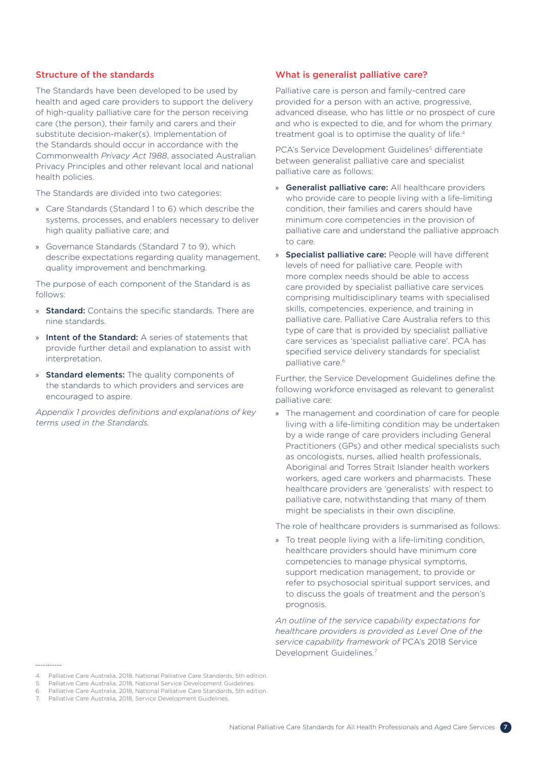### <span id="page-6-0"></span>Structure of the standards

The Standards have been developed to be used by health and aged care providers to support the delivery of high-quality palliative care for the person receiving care (the person), their family and carers and their substitute decision-maker(s). Implementation of the Standards should occur in accordance with the Commonwealth *Privacy Act 1988*, associated Australian Privacy Principles and other relevant local and national health policies.

The Standards are divided into two categories:

- » Care Standards (Standard 1 to 6) which describe the systems, processes, and enablers necessary to deliver high quality palliative care; and
- » Governance Standards (Standard 7 to 9), which describe expectations regarding quality management, quality improvement and benchmarking.

The purpose of each component of the Standard is as follows:

- » **Standard:** Contains the specific standards. There are nine standards.
- » Intent of the Standard: A series of statements that provide further detail and explanation to assist with interpretation.
- » Standard elements: The quality components of the standards to which providers and services are encouraged to aspire.

*Appendix 1 provides definitions and explanations of key terms used in the Standards.*

### What is generalist palliative care?

Palliative care is person and family-centred care provided for a person with an active, progressive, advanced disease, who has little or no prospect of cure and who is expected to die, and for whom the primary treatment goal is to optimise the quality of life.4

PCA's Service Development Guidelines<sup>5</sup> differentiate between generalist palliative care and specialist palliative care as follows:

- » Generalist palliative care: All healthcare providers who provide care to people living with a life-limiting condition, their families and carers should have minimum core competencies in the provision of palliative care and understand the palliative approach to care.
- » Specialist palliative care: People will have different levels of need for palliative care. People with more complex needs should be able to access care provided by specialist palliative care services comprising multidisciplinary teams with specialised skills, competencies, experience, and training in palliative care. Palliative Care Australia refers to this type of care that is provided by specialist palliative care services as 'specialist palliative care'. PCA has specified service delivery standards for specialist palliative care.<sup>6</sup>

Further, the Service Development Guidelines define the following workforce envisaged as relevant to generalist palliative care:

» The management and coordination of care for people living with a life-limiting condition may be undertaken by a wide range of care providers including General Practitioners (GPs) and other medical specialists such as oncologists, nurses, allied health professionals, Aboriginal and Torres Strait Islander health workers workers, aged care workers and pharmacists. These healthcare providers are 'generalists' with respect to palliative care, notwithstanding that many of them might be specialists in their own discipline.

The role of healthcare providers is summarised as follows:

» To treat people living with a life-limiting condition, healthcare providers should have minimum core competencies to manage physical symptoms, support medication management, to provide or refer to psychosocial spiritual support services, and to discuss the goals of treatment and the person's prognosis.

*An outline of the service capability expectations for healthcare providers is provided as Level One of the service capability framework of* PCA's 2018 Service Development Guidelines*.* 7

<sup>4.</sup> Palliative Care Australia, 2018, National Palliative Care Standards, 5th edition.

<sup>5.</sup> Palliative Care Australia, 2018, National Service Development Guidelines.

<sup>6.</sup> Palliative Care Australia, 2018, National Palliative Care Standards, 5th edition.

<sup>7.</sup> Palliative Care Australia, 2018, Service Development Guidelines.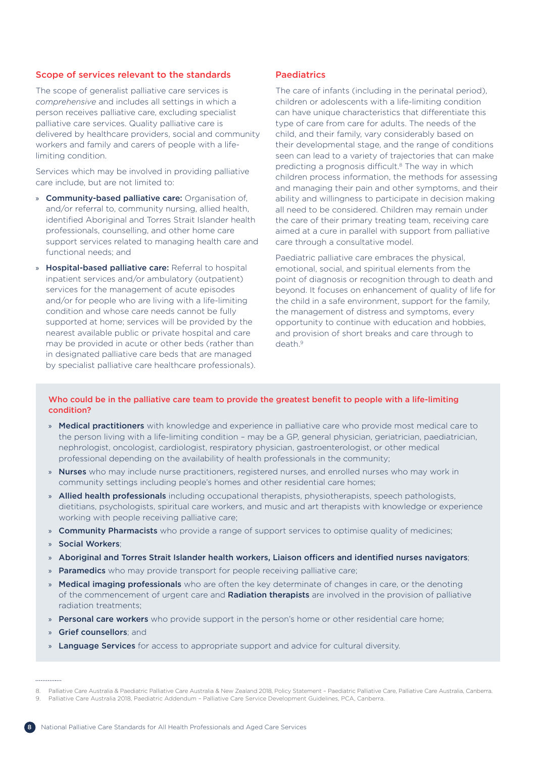### <span id="page-7-0"></span>Scope of services relevant to the standards

The scope of generalist palliative care services is *comprehensive* and includes all settings in which a person receives palliative care, excluding specialist palliative care services. Quality palliative care is delivered by healthcare providers, social and community workers and family and carers of people with a lifelimiting condition.

Services which may be involved in providing palliative care include, but are not limited to:

- » **Community-based palliative care:** Organisation of. and/or referral to, community nursing, allied health, identified Aboriginal and Torres Strait Islander health professionals, counselling, and other home care support services related to managing health care and functional needs; and
- » Hospital-based palliative care: Referral to hospital inpatient services and/or ambulatory (outpatient) services for the management of acute episodes and/or for people who are living with a life-limiting condition and whose care needs cannot be fully supported at home; services will be provided by the nearest available public or private hospital and care may be provided in acute or other beds (rather than in designated palliative care beds that are managed by specialist palliative care healthcare professionals).

### **Paediatrics**

The care of infants (including in the perinatal period), children or adolescents with a life-limiting condition can have unique characteristics that differentiate this type of care from care for adults. The needs of the child, and their family, vary considerably based on their developmental stage, and the range of conditions seen can lead to a variety of trajectories that can make predicting a prognosis difficult.<sup>8</sup> The way in which children process information, the methods for assessing and managing their pain and other symptoms, and their ability and willingness to participate in decision making all need to be considered. Children may remain under the care of their primary treating team, receiving care aimed at a cure in parallel with support from palliative care through a consultative model.

Paediatric palliative care embraces the physical, emotional, social, and spiritual elements from the point of diagnosis or recognition through to death and beyond. It focuses on enhancement of quality of life for the child in a safe environment, support for the family, the management of distress and symptoms, every opportunity to continue with education and hobbies, and provision of short breaks and care through to death<sup>9</sup>

### Who could be in the palliative care team to provide the greatest benefit to people with a life-limiting condition?

- » Medical practitioners with knowledge and experience in palliative care who provide most medical care to the person living with a life-limiting condition – may be a GP, general physician, geriatrician, paediatrician, nephrologist, oncologist, cardiologist, respiratory physician, gastroenterologist, or other medical professional depending on the availability of health professionals in the community;
- » Nurses who may include nurse practitioners, registered nurses, and enrolled nurses who may work in community settings including people's homes and other residential care homes;
- » Allied health professionals including occupational therapists, physiotherapists, speech pathologists, dietitians, psychologists, spiritual care workers, and music and art therapists with knowledge or experience working with people receiving palliative care;
- » Community Pharmacists who provide a range of support services to optimise quality of medicines;
- » Social Workers;
- » Aboriginal and Torres Strait Islander health workers, Liaison officers and identified nurses navigators;
- » Paramedics who may provide transport for people receiving palliative care;
- » Medical imaging professionals who are often the key determinate of changes in care, or the denoting of the commencement of urgent care and Radiation therapists are involved in the provision of palliative radiation treatments;
- » Personal care workers who provide support in the person's home or other residential care home;
- » Grief counsellors; and
- » Language Services for access to appropriate support and advice for cultural diversity.



Palliative Care Australia & Paediatric Palliative Care Australia & New Zealand 2018, Policy Statement - Paediatric Palliative Care, Palliative Care Australia, Canberra.

<sup>9.</sup> Palliative Care Australia 2018, Paediatric Addendum – Palliative Care Service Development Guidelines, PCA, Canberra.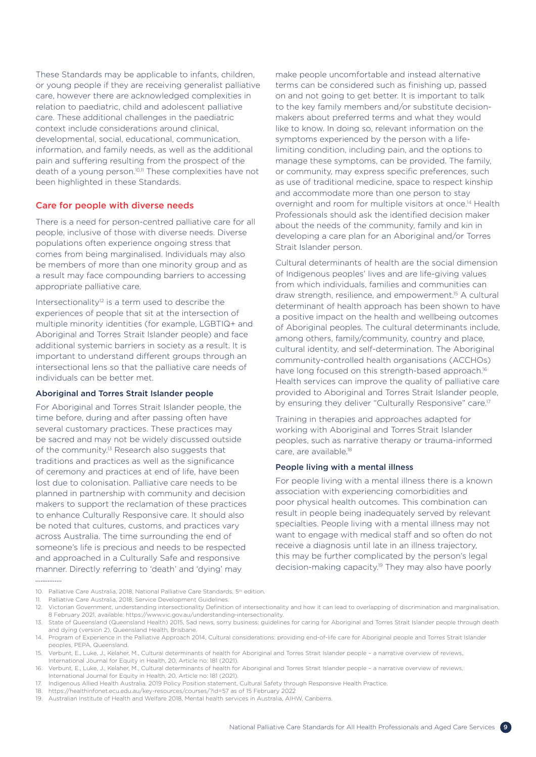<span id="page-8-0"></span>These Standards may be applicable to infants, children, or young people if they are receiving generalist palliative care, however there are acknowledged complexities in relation to paediatric, child and adolescent palliative care. These additional challenges in the paediatric context include considerations around clinical, developmental, social, educational, communication, information, and family needs, as well as the additional pain and suffering resulting from the prospect of the death of a young person.<sup>10,11</sup> These complexities have not been highlighted in these Standards.

### Care for people with diverse needs

There is a need for person-centred palliative care for all people, inclusive of those with diverse needs. Diverse populations often experience ongoing stress that comes from being marginalised. Individuals may also be members of more than one minority group and as a result may face compounding barriers to accessing appropriate palliative care.

Intersectionality<sup>12</sup> is a term used to describe the experiences of people that sit at the intersection of multiple minority identities (for example, LGBTIQ+ and Aboriginal and Torres Strait Islander people) and face additional systemic barriers in society as a result. It is important to understand different groups through an intersectional lens so that the palliative care needs of individuals can be better met.

### Aboriginal and Torres Strait Islander people

For Aboriginal and Torres Strait Islander people, the time before, during and after passing often have several customary practices. These practices may be sacred and may not be widely discussed outside of the community.<sup>13</sup> Research also suggests that traditions and practices as well as the significance of ceremony and practices at end of life, have been lost due to colonisation. Palliative care needs to be planned in partnership with community and decision makers to support the reclamation of these practices to enhance Culturally Responsive care. It should also be noted that cultures, customs, and practices vary across Australia. The time surrounding the end of someone's life is precious and needs to be respected and approached in a Culturally Safe and responsive manner. Directly referring to 'death' and 'dying' may

make people uncomfortable and instead alternative terms can be considered such as finishing up, passed on and not going to get better. It is important to talk to the key family members and/or substitute decisionmakers about preferred terms and what they would like to know. In doing so, relevant information on the symptoms experienced by the person with a lifelimiting condition, including pain, and the options to manage these symptoms, can be provided. The family, or community, may express specific preferences, such as use of traditional medicine, space to respect kinship and accommodate more than one person to stay overnight and room for multiple visitors at once.14 Health Professionals should ask the identified decision maker about the needs of the community, family and kin in developing a care plan for an Aboriginal and/or Torres Strait Islander person.

Cultural determinants of health are the social dimension of Indigenous peoples' lives and are life-giving values from which individuals, families and communities can draw strength, resilience, and empowerment.15 A cultural determinant of health approach has been shown to have a positive impact on the health and wellbeing outcomes of Aboriginal peoples. The cultural determinants include, among others, family/community, country and place, cultural identity, and self-determination. The Aboriginal community-controlled health organisations (ACCHOs) have long focused on this strength-based approach.<sup>16</sup> Health services can improve the quality of palliative care provided to Aboriginal and Torres Strait Islander people, by ensuring they deliver "Culturally Responsive" care.<sup>17</sup>

Training in therapies and approaches adapted for working with Aboriginal and Torres Strait Islander peoples, such as narrative therapy or trauma-informed care, are available.<sup>18</sup>

#### People living with a mental illness

For people living with a mental illness there is a known association with experiencing comorbidities and poor physical health outcomes. This combination can result in people being inadequately served by relevant specialties. People living with a mental illness may not want to engage with medical staff and so often do not receive a diagnosis until late in an illness trajectory, this may be further complicated by the person's legal decision-making capacity.19 They may also have poorly

<sup>10.</sup> Palliative Care Australia, 2018, National Palliative Care Standards, 5<sup>th</sup> edition.

<sup>11.</sup> Palliative Care Australia, 2018, Service Development Guidelines.

<sup>12.</sup> Victorian Government, understanding intersectionality Definition of intersectionality and how it can lead to overlapping of discrimination and marginalisation, 8 February 2021, available: https://www.vic.gov.au/understanding-intersectionality.

<sup>13.</sup> State of Queensland (Queensland Health) 2015, Sad news, sorry business: guidelines for caring for Aboriginal and Torres Strait Islander people through death and dying (version 2), Queensland Health, Brisbane.

<sup>14.</sup> Program of Experience in the Palliative Approach 2014, Cultural considerations: providing end-of-life care for Aboriginal people and Torres Strait Islander peoples, PEPA, Queensland.

<sup>15.</sup> Verbunt, E., Luke, J., Kelaher, M., Cultural determinants of health for Aboriginal and Torres Strait Islander people – a narrative overview of reviews, International Journal for Equity in Health, 20, Article no: 181 (2021).

<sup>16.</sup> Verbunt, E., Luke, J., Kelaher, M., Cultural determinants of health for Aboriginal and Torres Strait Islander people – a narrative overview of reviews, International Journal for Equity in Health, 20, Article no: 181 (2021).

<sup>17.</sup> Indigenous Allied Health Australia, 2019 Policy Position statement, Cultural Safety through Responsive Health Practice.

<sup>18.</sup> <https://healthinfonet.ecu.edu.au/key-resources/courses/?id=57> as of 15 February 2022

<sup>19.</sup> Australian Institute of Health and Welfare 2018, Mental health services in Australia, AIHW, Canberra.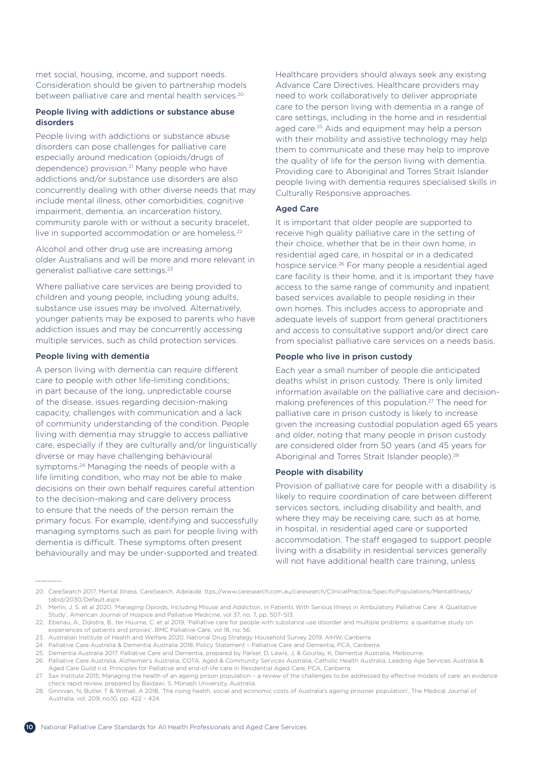met social, housing, income, and support needs. Consideration should be given to partnership models between palliative care and mental health services.<sup>20</sup>

### People living with addictions or substance abuse disorders

People living with addictions or substance abuse disorders can pose challenges for palliative care especially around medication (opioids/drugs of dependence) provision.<sup>21</sup> Many people who have addictions and/or substance use disorders are also concurrently dealing with other diverse needs that may include mental illness, other comorbidities, cognitive impairment, dementia, an incarceration history, community parole with or without a security bracelet, live in supported accommodation or are homeless.<sup>22</sup>

Alcohol and other drug use are increasing among older Australians and will be more and more relevant in generalist palliative care settings.<sup>23</sup>

Where palliative care services are being provided to children and young people, including young adults, substance use issues may be involved. Alternatively, younger patients may be exposed to parents who have addiction issues and may be concurrently accessing multiple services, such as child protection services.

### People living with dementia

A person living with dementia can require different care to people with other life-limiting conditions; in part because of the long, unpredictable course of the disease, issues regarding decision-making capacity, challenges with communication and a lack of community understanding of the condition. People living with dementia may struggle to access palliative care, especially if they are culturally and/or linguistically diverse or may have challenging behavioural symptoms.<sup>24</sup> Managing the needs of people with a life limiting condition, who may not be able to make decisions on their own behalf requires careful attention to the decision-making and care delivery process to ensure that the needs of the person remain the primary focus. For example, identifying and successfully managing symptoms such as pain for people living with dementia is difficult. These symptoms often present behaviourally and may be under-supported and treated. Healthcare providers should always seek any existing Advance Care Directives. Healthcare providers may need to work collaboratively to deliver appropriate care to the person living with dementia in a range of care settings, including in the home and in residential aged care.<sup>25</sup> Aids and equipment may help a person with their mobility and assistive technology may help them to communicate and these may help to improve the quality of life for the person living with dementia. Providing care to Aboriginal and Torres Strait Islander people living with dementia requires specialised skills in Culturally Responsive approaches.

### Aged Care

It is important that older people are supported to receive high quality palliative care in the setting of their choice, whether that be in their own home, in residential aged care, in hospital or in a dedicated hospice service.26 For many people a residential aged care facility is their home, and it is important they have access to the same range of community and inpatient based services available to people residing in their own homes. This includes access to appropriate and adequate levels of support from general practitioners and access to consultative support and/or direct care from specialist palliative care services on a needs basis.

### People who live in prison custody

Each year a small number of people die anticipated deaths whilst in prison custody. There is only limited information available on the palliative care and decisionmaking preferences of this population.27 The need for palliative care in prison custody is likely to increase given the increasing custodial population aged 65 years and older, noting that many people in prison custody are considered older from 50 years (and 45 years for Aboriginal and Torres Strait Islander people).<sup>28</sup>

### People with disability

Provision of palliative care for people with a disability is likely to require coordination of care between different services sectors, including disability and health, and where they may be receiving care, such as at home, in hospital, in residential aged care or supported accommodation. The staff engaged to support people living with a disability in residential services generally will not have additional health care training, unless

<sup>20.</sup> CareSearch 2017, Mental Illness, CareSearch, Adelaide. ttps://www.caresearch.com.au/caresearch/ClinicalPractice/SpecificPopulations/MentalIllness/ tabid/2030/Default.aspx.

<sup>21.</sup> Merlin, J. S. et al 2020, 'Managing Opioids, Including Misuse and Addiction, in Patients With Serious Illness in Ambulatory Palliative Care: A Qualitative Study', American Journal of Hospice and Palliative Medicine, vol 37, no. 7, pp. 507–513.

<sup>22.</sup> Ebenau, A., Dijkstra, B., ter Huurne, C. et al 2019, 'Palliative care for people with substance use disorder and multiple problems: a qualitative study on experiences of patients and proxies'. BMC Palliative Care, vol 18, no. 56.

<sup>23.</sup> Australian Institute of Health and Welfare 2020, National Drug Strategy Household Survey 2019, AIHW, Canberra

<sup>24.</sup> Palliative Care Australia & Dementia Australia 2018, Policy Statement – Palliative Care and Dementia, PCA, Canberra.

<sup>25.</sup> Dementia Australia 2017, Palliative Care and Dementia, prepared by Parker, D, Lewis, J, & Gourlay, K, Dementia Australia, Melbourne.

<sup>26.</sup> Palliative Care Australia, Alzheimer's Australia, COTA, Aged & Community Services Australia, Catholic Health Australia, Leading Age Services Australia & Aged Care Guild n.d. Principles for Palliative and end-of-life care in Residential Aged Care, PCA, Canberra.

<sup>27.</sup> Sax Institute 2015, Managing the health of an ageing prison population – a review of the challenges to be addressed by effective models of care: an evidence check rapid review, prepared by Baidawi, S, Monash University, Australia.

<sup>28.</sup> Ginnivan, N, Butler, T & Withall, A 2018, 'The rising health, social and economic costs of Australia's ageing prisoner population', The Medical Journal of Australia, vol. 209, no.10, pp. 422 – 424.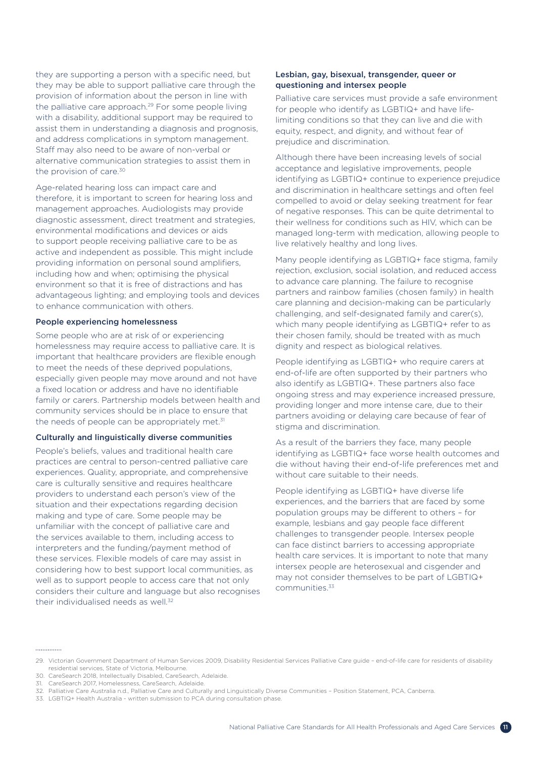they are supporting a person with a specific need, but they may be able to support palliative care through the provision of information about the person in line with the palliative care approach.<sup>29</sup> For some people living with a disability, additional support may be required to assist them in understanding a diagnosis and prognosis, and address complications in symptom management. Staff may also need to be aware of non-verbal or alternative communication strategies to assist them in the provision of care.<sup>30</sup>

Age-related hearing loss can impact care and therefore, it is important to screen for hearing loss and management approaches. Audiologists may provide diagnostic assessment, direct treatment and strategies, environmental modifications and devices or aids to support people receiving palliative care to be as active and independent as possible. This might include providing information on personal sound amplifiers, including how and when; optimising the physical environment so that it is free of distractions and has advantageous lighting; and employing tools and devices to enhance communication with others.

### People experiencing homelessness

Some people who are at risk of or experiencing homelessness may require access to palliative care. It is important that healthcare providers are flexible enough to meet the needs of these deprived populations, especially given people may move around and not have a fixed location or address and have no identifiable family or carers. Partnership models between health and community services should be in place to ensure that the needs of people can be appropriately met.<sup>31</sup>

### Culturally and linguistically diverse communities

People's beliefs, values and traditional health care practices are central to person-centred palliative care experiences. Quality, appropriate, and comprehensive care is culturally sensitive and requires healthcare providers to understand each person's view of the situation and their expectations regarding decision making and type of care. Some people may be unfamiliar with the concept of palliative care and the services available to them, including access to interpreters and the funding/payment method of these services. Flexible models of care may assist in considering how to best support local communities, as well as to support people to access care that not only considers their culture and language but also recognises their individualised needs as well.<sup>32</sup>

### Lesbian, gay, bisexual, transgender, queer or questioning and intersex people

Palliative care services must provide a safe environment for people who identify as LGBTIQ+ and have lifelimiting conditions so that they can live and die with equity, respect, and dignity, and without fear of prejudice and discrimination.

Although there have been increasing levels of social acceptance and legislative improvements, people identifying as LGBTIQ+ continue to experience prejudice and discrimination in healthcare settings and often feel compelled to avoid or delay seeking treatment for fear of negative responses. This can be quite detrimental to their wellness for conditions such as HIV, which can be managed long-term with medication, allowing people to live relatively healthy and long lives.

Many people identifying as LGBTIQ+ face stigma, family rejection, exclusion, social isolation, and reduced access to advance care planning. The failure to recognise partners and rainbow families (chosen family) in health care planning and decision-making can be particularly challenging, and self-designated family and carer(s), which many people identifying as LGBTIQ+ refer to as their chosen family, should be treated with as much dignity and respect as biological relatives.

People identifying as LGBTIQ+ who require carers at end-of-life are often supported by their partners who also identify as LGBTIQ+. These partners also face ongoing stress and may experience increased pressure, providing longer and more intense care, due to their partners avoiding or delaying care because of fear of stigma and discrimination.

As a result of the barriers they face, many people identifying as LGBTIQ+ face worse health outcomes and die without having their end-of-life preferences met and without care suitable to their needs.

People identifying as LGBTIQ+ have diverse life experiences, and the barriers that are faced by some population groups may be different to others – for example, lesbians and gay people face different challenges to transgender people. Intersex people can face distinct barriers to accessing appropriate health care services. It is important to note that many intersex people are heterosexual and cisgender and may not consider themselves to be part of LGBTIQ+ communities.33

<sup>29.</sup> Victorian Government Department of Human Services 2009, Disability Residential Services Palliative Care guide – end-of-life care for residents of disability residential services, State of Victoria, Melbourne.

<sup>30.</sup> CareSearch 2018, Intellectually Disabled, CareSearch, Adelaide.

<sup>31.</sup> CareSearch 2017, Homelessness, CareSearch, Adelaide.

<sup>32.</sup> Palliative Care Australia n.d., Palliative Care and Culturally and Linguistically Diverse Communities – Position Statement, PCA, Canberra.

<sup>33.</sup> LGBTIQ+ Health Australia - written submission to PCA during consultation phase.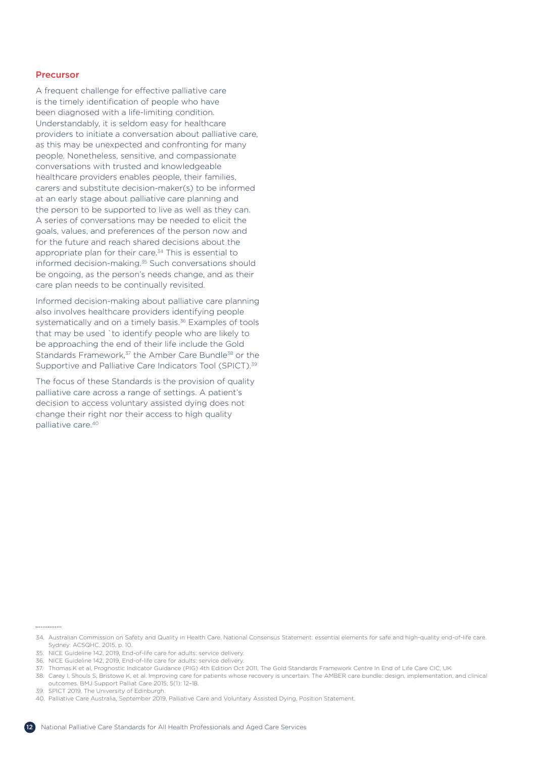### <span id="page-11-0"></span>Precursor

A frequent challenge for effective palliative care is the timely identification of people who have been diagnosed with a life-limiting condition. Understandably, it is seldom easy for healthcare providers to initiate a conversation about palliative care, as this may be unexpected and confronting for many people. Nonetheless, sensitive, and compassionate conversations with trusted and knowledgeable healthcare providers enables people, their families, carers and substitute decision-maker(s) to be informed at an early stage about palliative care planning and the person to be supported to live as well as they can. A series of conversations may be needed to elicit the goals, values, and preferences of the person now and for the future and reach shared decisions about the appropriate plan for their care.<sup>34</sup> This is essential to informed decision-making.<sup>35</sup> Such conversations should be ongoing, as the person's needs change, and as their care plan needs to be continually revisited.

Informed decision-making about palliative care planning also involves healthcare providers identifying people systematically and on a timely basis.<sup>36</sup> Examples of tools that may be used `to identify people who are likely to be approaching the end of their life include the Gold Standards Framework,<sup>37</sup> the Amber Care Bundle<sup>38</sup> or the Supportive and Palliative Care Indicators Tool (SPICT).<sup>39</sup>

The focus of these Standards is the provision of quality palliative care across a range of settings. A patient's decision to access voluntary assisted dying does not change their right nor their access to high quality palliative care.<sup>40</sup>

#### .............

- 34. Australian Commission on Safety and Quality in Health Care. National Consensus Statement: essential elements for safe and high-quality end-of-life care. Sydney: ACSQHC, 2015, p. 10.
- 35. NICE Guideline 142, 2019, End-of-life care for adults: service delivery.
- 36. NICE Guideline 142, 2019, End-of-life care for adults: service delivery.
- 37. Thomas.K et al, Prognostic Indicator Guidance (PIG) 4th Edition Oct 2011, The Gold Standards Framework Centre In End of Life Care CIC, UK
- 38. Carey I, Shouls S, Bristowe K, et al. Improving care for patients whose recovery is uncertain. The AMBER care bundle: design, implementation, and clinical outcomes. BMJ Support Palliat Care 2015; 5(1): 12–18.
- 39. SPICT 2019, The University of Edinburgh.
- 40. Palliative Care Australia, September 2019, Palliative Care and Voluntary Assisted Dying, Position Statement.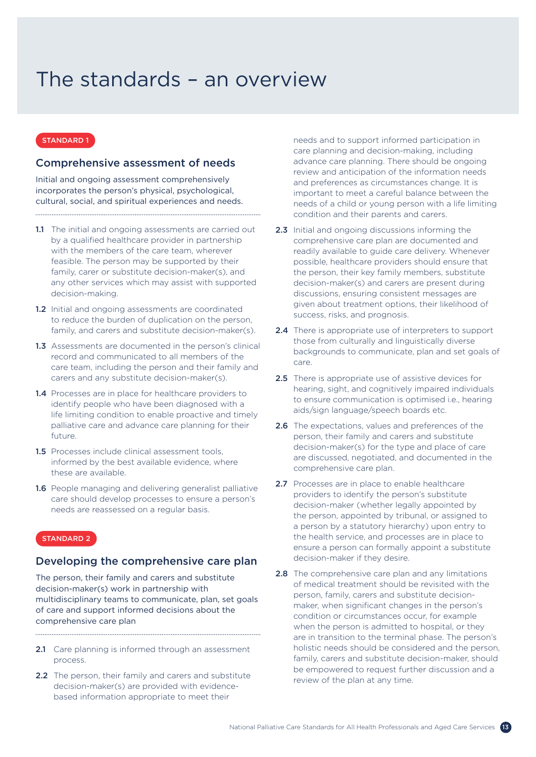## <span id="page-12-0"></span>The standards – an overview

### STANDARD 1

### Comprehensive assessment of needs

Initial and ongoing assessment comprehensively incorporates the person's physical, psychological, cultural, social, and spiritual experiences and needs.

1.1 The initial and ongoing assessments are carried out by a qualified healthcare provider in partnership with the members of the care team, wherever feasible. The person may be supported by their family, carer or substitute decision-maker(s), and any other services which may assist with supported decision-making.

- 1.2 Initial and ongoing assessments are coordinated to reduce the burden of duplication on the person, family, and carers and substitute decision-maker(s).
- 1.3 Assessments are documented in the person's clinical record and communicated to all members of the care team, including the person and their family and carers and any substitute decision-maker(s).
- 1.4 Processes are in place for healthcare providers to identify people who have been diagnosed with a life limiting condition to enable proactive and timely palliative care and advance care planning for their future.
- 1.5 Processes include clinical assessment tools. informed by the best available evidence, where these are available.
- 1.6 People managing and delivering generalist palliative care should develop processes to ensure a person's needs are reassessed on a regular basis.

### STANDARD 2

### Developing the comprehensive care plan

The person, their family and carers and substitute decision-maker(s) work in partnership with multidisciplinary teams to communicate, plan, set goals of care and support informed decisions about the comprehensive care plan

2.1 Care planning is informed through an assessment process.

2.2 The person, their family and carers and substitute decision-maker(s) are provided with evidencebased information appropriate to meet their

needs and to support informed participation in care planning and decision-making, including advance care planning. There should be ongoing review and anticipation of the information needs and preferences as circumstances change. It is important to meet a careful balance between the needs of a child or young person with a life limiting condition and their parents and carers.

- 2.3 Initial and ongoing discussions informing the comprehensive care plan are documented and readily available to guide care delivery. Whenever possible, healthcare providers should ensure that the person, their key family members, substitute decision-maker(s) and carers are present during discussions, ensuring consistent messages are given about treatment options, their likelihood of success, risks, and prognosis.
- 2.4 There is appropriate use of interpreters to support those from culturally and linguistically diverse backgrounds to communicate, plan and set goals of care.
- 2.5 There is appropriate use of assistive devices for hearing, sight, and cognitively impaired individuals to ensure communication is optimised i.e., hearing aids/sign language/speech boards etc.
- **2.6** The expectations, values and preferences of the person, their family and carers and substitute decision-maker(s) for the type and place of care are discussed, negotiated, and documented in the comprehensive care plan.
- 2.7 Processes are in place to enable healthcare providers to identify the person's substitute decision-maker (whether legally appointed by the person, appointed by tribunal, or assigned to a person by a statutory hierarchy) upon entry to the health service, and processes are in place to ensure a person can formally appoint a substitute decision-maker if they desire.
- 2.8 The comprehensive care plan and any limitations of medical treatment should be revisited with the person, family, carers and substitute decisionmaker, when significant changes in the person's condition or circumstances occur, for example when the person is admitted to hospital, or they are in transition to the terminal phase. The person's holistic needs should be considered and the person, family, carers and substitute decision-maker, should be empowered to request further discussion and a review of the plan at any time.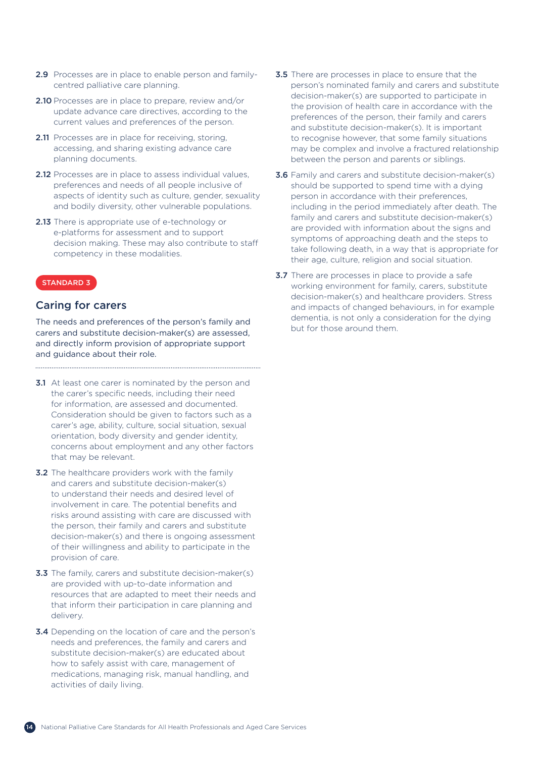- 2.9 Processes are in place to enable person and familycentred palliative care planning.
- 2.10 Processes are in place to prepare, review and/or update advance care directives, according to the current values and preferences of the person.
- 2.11 Processes are in place for receiving, storing, accessing, and sharing existing advance care planning documents.
- 2.12 Processes are in place to assess individual values. preferences and needs of all people inclusive of aspects of identity such as culture, gender, sexuality and bodily diversity, other vulnerable populations.
- 2.13 There is appropriate use of e-technology or e-platforms for assessment and to support decision making. These may also contribute to staff competency in these modalities.

### Caring for carers

The needs and preferences of the person's family and carers and substitute decision-maker(s) are assessed, and directly inform provision of appropriate support and guidance about their role.

- **3.1** At least one carer is nominated by the person and the carer's specific needs, including their need for information, are assessed and documented. Consideration should be given to factors such as a carer's age, ability, culture, social situation, sexual orientation, body diversity and gender identity, concerns about employment and any other factors that may be relevant.
- **3.2** The healthcare providers work with the family and carers and substitute decision-maker(s) to understand their needs and desired level of involvement in care. The potential benefits and risks around assisting with care are discussed with the person, their family and carers and substitute decision-maker(s) and there is ongoing assessment of their willingness and ability to participate in the provision of care.
- **3.3** The family, carers and substitute decision-maker(s) are provided with up-to-date information and resources that are adapted to meet their needs and that inform their participation in care planning and delivery.
- **3.4** Depending on the location of care and the person's needs and preferences, the family and carers and substitute decision-maker(s) are educated about how to safely assist with care, management of medications, managing risk, manual handling, and activities of daily living.
- **3.5** There are processes in place to ensure that the person's nominated family and carers and substitute decision-maker(s) are supported to participate in the provision of health care in accordance with the preferences of the person, their family and carers and substitute decision-maker(s). It is important to recognise however, that some family situations may be complex and involve a fractured relationship between the person and parents or siblings.
- **3.6** Family and carers and substitute decision-maker(s) should be supported to spend time with a dying person in accordance with their preferences, including in the period immediately after death. The family and carers and substitute decision-maker(s) are provided with information about the signs and symptoms of approaching death and the steps to take following death, in a way that is appropriate for their age, culture, religion and social situation.
- **3.7** There are processes in place to provide a safe working environment for family, carers, substitute decision-maker(s) and healthcare providers. Stress and impacts of changed behaviours, in for example dementia, is not only a consideration for the dying but for those around them.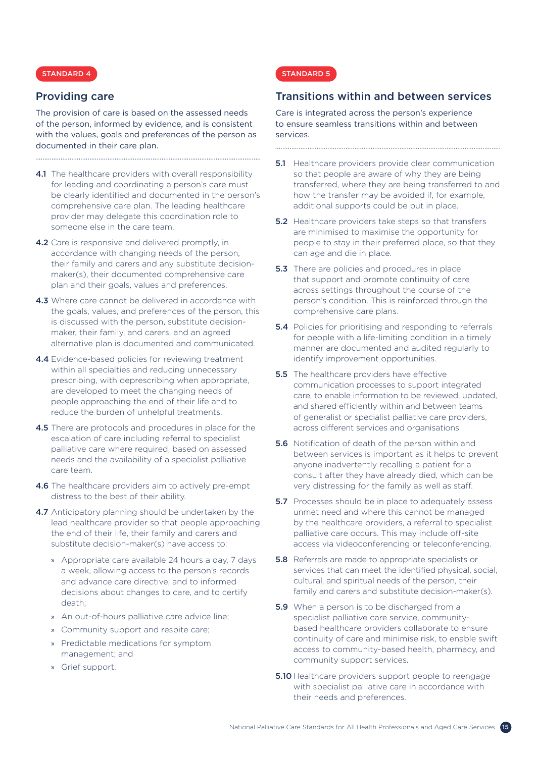### Providing care

The provision of care is based on the assessed needs of the person, informed by evidence, and is consistent with the values, goals and preferences of the person as documented in their care plan.

- 4.1 The healthcare providers with overall responsibility for leading and coordinating a person's care must be clearly identified and documented in the person's comprehensive care plan. The leading healthcare provider may delegate this coordination role to someone else in the care team.
- 4.2 Care is responsive and delivered promptly, in accordance with changing needs of the person, their family and carers and any substitute decisionmaker(s), their documented comprehensive care plan and their goals, values and preferences.
- 4.3 Where care cannot be delivered in accordance with the goals, values, and preferences of the person, this is discussed with the person, substitute decisionmaker, their family, and carers, and an agreed alternative plan is documented and communicated.
- 4.4 Evidence-based policies for reviewing treatment within all specialties and reducing unnecessary prescribing, with deprescribing when appropriate, are developed to meet the changing needs of people approaching the end of their life and to reduce the burden of unhelpful treatments.
- 4.5 There are protocols and procedures in place for the escalation of care including referral to specialist palliative care where required, based on assessed needs and the availability of a specialist palliative care team.
- 4.6 The healthcare providers aim to actively pre-empt distress to the best of their ability.
- 4.7 Anticipatory planning should be undertaken by the lead healthcare provider so that people approaching the end of their life, their family and carers and substitute decision-maker(s) have access to:
	- » Appropriate care available 24 hours a day, 7 days a week, allowing access to the person's records and advance care directive, and to informed decisions about changes to care, and to certify death;
	- » An out-of-hours palliative care advice line;
	- » Community support and respite care;
	- » Predictable medications for symptom management; and
	- » Grief support.

### STANDARD 5

### Transitions within and between services

Care is integrated across the person's experience to ensure seamless transitions within and between services.

**5.1** Healthcare providers provide clear communication so that people are aware of why they are being transferred, where they are being transferred to and how the transfer may be avoided if, for example, additional supports could be put in place.

- **5.2** Healthcare providers take steps so that transfers are minimised to maximise the opportunity for people to stay in their preferred place, so that they can age and die in place.
- **5.3** There are policies and procedures in place that support and promote continuity of care across settings throughout the course of the person's condition. This is reinforced through the comprehensive care plans.
- **5.4** Policies for prioritising and responding to referrals for people with a life-limiting condition in a timely manner are documented and audited regularly to identify improvement opportunities.
- **5.5** The healthcare providers have effective communication processes to support integrated care, to enable information to be reviewed, updated, and shared efficiently within and between teams of generalist or specialist palliative care providers, across different services and organisations
- **5.6** Notification of death of the person within and between services is important as it helps to prevent anyone inadvertently recalling a patient for a consult after they have already died, which can be very distressing for the family as well as staff.
- **5.7** Processes should be in place to adequately assess unmet need and where this cannot be managed by the healthcare providers, a referral to specialist palliative care occurs. This may include off-site access via videoconferencing or teleconferencing.
- **5.8** Referrals are made to appropriate specialists or services that can meet the identified physical, social, cultural, and spiritual needs of the person, their family and carers and substitute decision-maker(s).
- **5.9** When a person is to be discharged from a specialist palliative care service, communitybased healthcare providers collaborate to ensure continuity of care and minimise risk, to enable swift access to community-based health, pharmacy, and community support services.
- **5.10** Healthcare providers support people to reengage with specialist palliative care in accordance with their needs and preferences.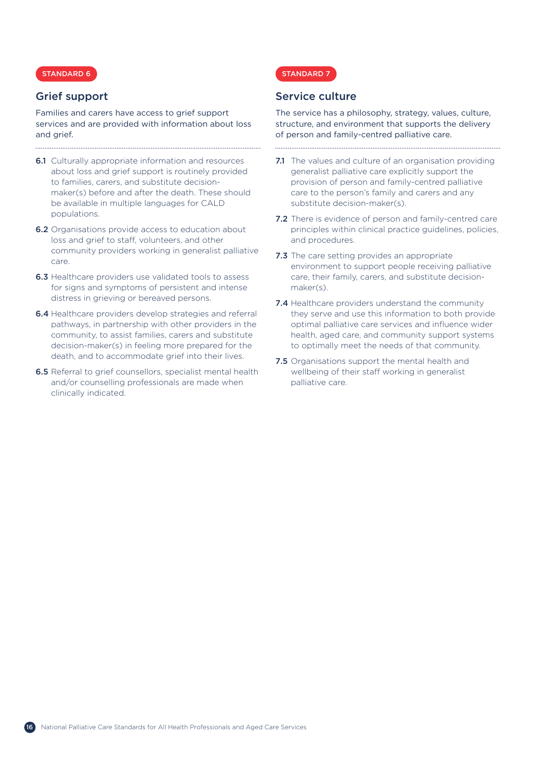### Grief support

Families and carers have access to grief support services and are provided with information about loss and grief.

- **6.1** Culturally appropriate information and resources about loss and grief support is routinely provided to families, carers, and substitute decisionmaker(s) before and after the death. These should be available in multiple languages for CALD populations.
- **6.2** Organisations provide access to education about loss and grief to staff, volunteers, and other community providers working in generalist palliative care.
- **6.3** Healthcare providers use validated tools to assess for signs and symptoms of persistent and intense distress in grieving or bereaved persons.
- 6.4 Healthcare providers develop strategies and referral pathways, in partnership with other providers in the community, to assist families, carers and substitute decision-maker(s) in feeling more prepared for the death, and to accommodate grief into their lives.
- 6.5 Referral to grief counsellors, specialist mental health and/or counselling professionals are made when clinically indicated.

### STANDARD 7

### Service culture

The service has a philosophy, strategy, values, culture, structure, and environment that supports the delivery of person and family-centred palliative care.

- 7.1 The values and culture of an organisation providing generalist palliative care explicitly support the provision of person and family-centred palliative care to the person's family and carers and any substitute decision-maker(s).
- **7.2** There is evidence of person and family-centred care principles within clinical practice guidelines, policies, and procedures.
- 7.3 The care setting provides an appropriate environment to support people receiving palliative care, their family, carers, and substitute decisionmaker(s).
- 7.4 Healthcare providers understand the community they serve and use this information to both provide optimal palliative care services and influence wider health, aged care, and community support systems to optimally meet the needs of that community.
- **7.5** Organisations support the mental health and wellbeing of their staff working in generalist palliative care.

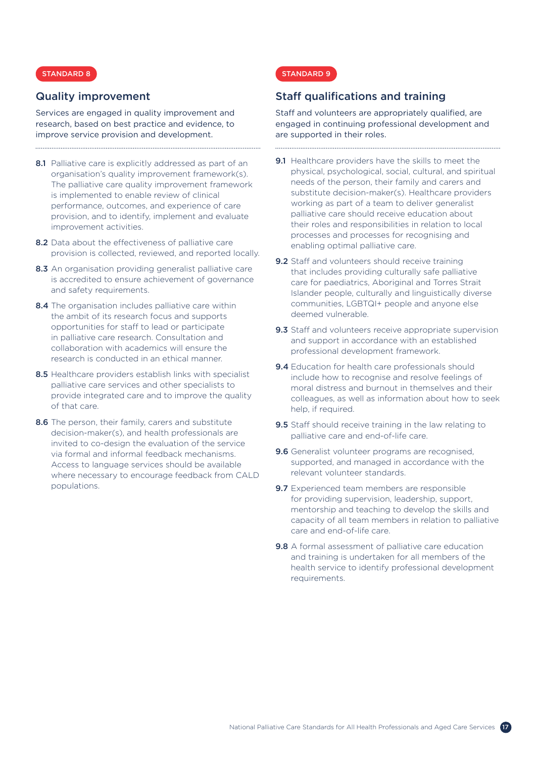### Quality improvement

Services are engaged in quality improvement and research, based on best practice and evidence, to improve service provision and development.

8.1 Palliative care is explicitly addressed as part of an organisation's quality improvement framework(s). The palliative care quality improvement framework is implemented to enable review of clinical performance, outcomes, and experience of care provision, and to identify, implement and evaluate improvement activities.

- 8.2 Data about the effectiveness of palliative care provision is collected, reviewed, and reported locally.
- 8.3 An organisation providing generalist palliative care is accredited to ensure achievement of governance and safety requirements.
- 8.4 The organisation includes palliative care within the ambit of its research focus and supports opportunities for staff to lead or participate in palliative care research. Consultation and collaboration with academics will ensure the research is conducted in an ethical manner.
- 8.5 Healthcare providers establish links with specialist palliative care services and other specialists to provide integrated care and to improve the quality of that care.
- 8.6 The person, their family, carers and substitute decision-maker(s), and health professionals are invited to co-design the evaluation of the service via formal and informal feedback mechanisms. Access to language services should be available where necessary to encourage feedback from CALD populations.

### STANDARD 9

### Staff qualifications and training

Staff and volunteers are appropriately qualified, are engaged in continuing professional development and are supported in their roles.

- 9.1 Healthcare providers have the skills to meet the physical, psychological, social, cultural, and spiritual needs of the person, their family and carers and substitute decision-maker(s). Healthcare providers working as part of a team to deliver generalist palliative care should receive education about their roles and responsibilities in relation to local processes and processes for recognising and enabling optimal palliative care.
- 9.2 Staff and volunteers should receive training that includes providing culturally safe palliative care for paediatrics, Aboriginal and Torres Strait Islander people, culturally and linguistically diverse communities, LGBTQI+ people and anyone else deemed vulnerable.
- 9.3 Staff and volunteers receive appropriate supervision and support in accordance with an established professional development framework.
- 9.4 Education for health care professionals should include how to recognise and resolve feelings of moral distress and burnout in themselves and their colleagues, as well as information about how to seek help, if required.
- 9.5 Staff should receive training in the law relating to palliative care and end-of-life care.
- 9.6 Generalist volunteer programs are recognised, supported, and managed in accordance with the relevant volunteer standards.
- 9.7 Experienced team members are responsible for providing supervision, leadership, support, mentorship and teaching to develop the skills and capacity of all team members in relation to palliative care and end-of-life care.
- 9.8 A formal assessment of palliative care education and training is undertaken for all members of the health service to identify professional development requirements.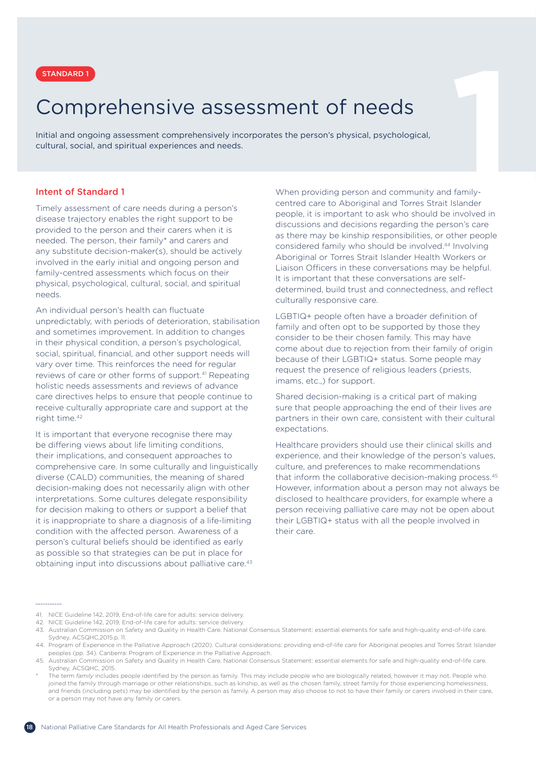

# <span id="page-17-0"></span>**11 STANDARD 1**<br> **11 STANDARD 1**<br> **11 STAND ARTLE STAND ARTLE STAND ARTLE STAND ARTLE STAND ARTLE SOCION SURVEY STAND AND ARTLA SOCIOL, and spiritual experiences and needs.<br>
11 Ultural, social, and spiritual experiences an** Comprehensive assessment of needs

Initial and ongoing assessment comprehensively incorporates the person's physical, psychological, cultural, social, and spiritual experiences and needs.

### Intent of Standard 1

Timely assessment of care needs during a person's disease trajectory enables the right support to be provided to the person and their carers when it is needed. The person, their family\* and carers and any substitute decision-maker(s), should be actively involved in the early initial and ongoing person and family-centred assessments which focus on their physical, psychological, cultural, social, and spiritual needs.

An individual person's health can fluctuate unpredictably, with periods of deterioration, stabilisation and sometimes improvement. In addition to changes in their physical condition, a person's psychological, social, spiritual, financial, and other support needs will vary over time. This reinforces the need for regular reviews of care or other forms of support.<sup>41</sup> Repeating holistic needs assessments and reviews of advance care directives helps to ensure that people continue to receive culturally appropriate care and support at the right time.<sup>42</sup>

It is important that everyone recognise there may be differing views about life limiting conditions, their implications, and consequent approaches to comprehensive care. In some culturally and linguistically diverse (CALD) communities, the meaning of shared decision-making does not necessarily align with other interpretations. Some cultures delegate responsibility for decision making to others or support a belief that it is inappropriate to share a diagnosis of a life-limiting condition with the affected person. Awareness of a person's cultural beliefs should be identified as early as possible so that strategies can be put in place for obtaining input into discussions about palliative care.<sup>43</sup>

When providing person and community and familycentred care to Aboriginal and Torres Strait Islander people, it is important to ask who should be involved in discussions and decisions regarding the person's care as there may be kinship responsibilities, or other people considered family who should be involved.44 Involving Aboriginal or Torres Strait Islander Health Workers or Liaison Officers in these conversations may be helpful. It is important that these conversations are selfdetermined, build trust and connectedness, and reflect culturally responsive care.

LGBTIQ+ people often have a broader definition of family and often opt to be supported by those they consider to be their chosen family. This may have come about due to rejection from their family of origin because of their LGBTIQ+ status. Some people may request the presence of religious leaders (priests, imams, etc.,) for support.

Shared decision-making is a critical part of making sure that people approaching the end of their lives are partners in their own care, consistent with their cultural expectations.

Healthcare providers should use their clinical skills and experience, and their knowledge of the person's values, culture, and preferences to make recommendations that inform the collaborative decision-making process.<sup>45</sup> However, information about a person may not always be disclosed to healthcare providers, for example where a person receiving palliative care may not be open about their LGBTIQ+ status with all the people involved in their care.

<sup>. . . . . . . . . . . . . .</sup> 

<sup>41.</sup> NICE Guideline 142, 2019, End-of-life care for adults: service delivery.

<sup>42.</sup> NICE Guideline 142, 2019, End-of-life care for adults: service delivery.

<sup>43.</sup> Australian Commission on Safety and Quality in Health Care. National Consensus Statement: essential elements for safe and high-quality end-of-life care. Sydney, ACSQHC,2015.p. 11.

<sup>44.</sup> Program of Experience in the Palliative Approach (2020). Cultural considerations: providing end-of-life care for Aboriginal peoples and Torres Strait Islander peoples (pp. 34). Canberra: Program of Experience in the Palliative Approach.

<sup>45.</sup> Australian Commission on Safety and Quality in Health Care. National Consensus Statement: essential elements for safe and high-quality end-of-life care. Sydney, ACSQHC, 2015.

The term *family* includes people identified by the person as family. This may include people who are biologically related, however it may not. People who joined the family through marriage or other relationships, such as kinship, as well as the chosen family, street family for those experiencing homelessness, and friends (including pets) may be identified by the person as family. A person may also choose to not to have their family or carers involved in their care or a person may not have any family or carers.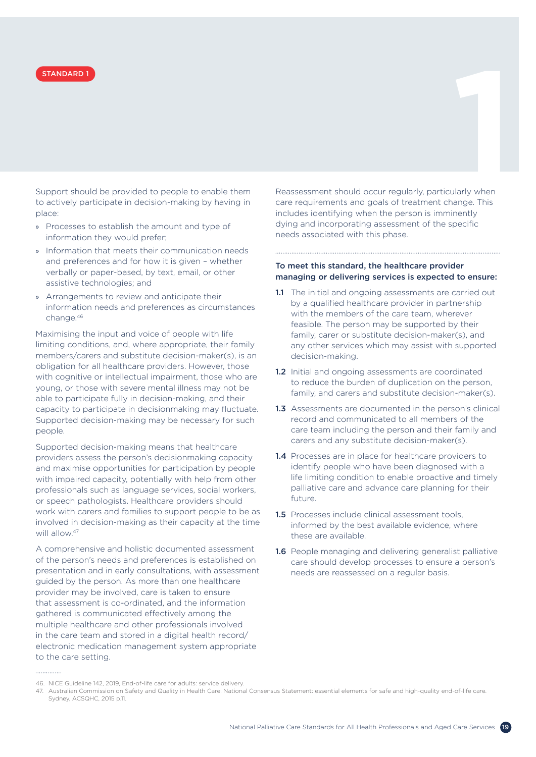

Support should be provided to people to enable them to actively participate in decision-making by having in place:

- » Processes to establish the amount and type of information they would prefer;
- » Information that meets their communication needs and preferences and for how it is given – whether verbally or paper-based, by text, email, or other assistive technologies; and
- » Arrangements to review and anticipate their information needs and preferences as circumstances change.46

Maximising the input and voice of people with life limiting conditions, and, where appropriate, their family members/carers and substitute decision-maker(s), is an obligation for all healthcare providers. However, those with cognitive or intellectual impairment, those who are young, or those with severe mental illness may not be able to participate fully in decision-making, and their capacity to participate in decisionmaking may fluctuate. Supported decision-making may be necessary for such people.

Supported decision-making means that healthcare providers assess the person's decisionmaking capacity and maximise opportunities for participation by people with impaired capacity, potentially with help from other professionals such as language services, social workers, or speech pathologists. Healthcare providers should work with carers and families to support people to be as involved in decision-making as their capacity at the time will allow.<sup>47</sup>

A comprehensive and holistic documented assessment of the person's needs and preferences is established on presentation and in early consultations, with assessment guided by the person. As more than one healthcare provider may be involved, care is taken to ensure that assessment is co-ordinated, and the information gathered is communicated effectively among the multiple healthcare and other professionals involved in the care team and stored in a digital health record/ electronic medication management system appropriate to the care setting.

Reassessment should occur regularly, particularly when care requirements and goals of treatment change. This includes identifying when the person is imminently dying and incorporating assessment of the specific needs associated with this phase. **STANDARD 1**<br>upport should be provided to people to enable them Reassessment should occur regularly, particularly when<br>upport should be provided to people to enable them Reassessment should occur regularly, particularly wh

### To meet this standard, the healthcare provider managing or delivering services is expected to ensure:

- 1.1 The initial and ongoing assessments are carried out by a qualified healthcare provider in partnership with the members of the care team, wherever feasible. The person may be supported by their family, carer or substitute decision-maker(s), and any other services which may assist with supported decision-making.
- 1.2 Initial and ongoing assessments are coordinated to reduce the burden of duplication on the person, family, and carers and substitute decision-maker(s).
- 1.3 Assessments are documented in the person's clinical record and communicated to all members of the care team including the person and their family and carers and any substitute decision-maker(s).
- 1.4 Processes are in place for healthcare providers to identify people who have been diagnosed with a life limiting condition to enable proactive and timely palliative care and advance care planning for their future.
- **1.5** Processes include clinical assessment tools. informed by the best available evidence, where these are available.
- 1.6 People managing and delivering generalist palliative care should develop processes to ensure a person's needs are reassessed on a regular basis.

<sup>46.</sup> NICE Guideline 142, 2019, End-of-life care for adults: service delivery.

<sup>47.</sup> Australian Commission on Safety and Quality in Health Care. National Consensus Statement: essential elements for safe and high-quality end-of-life care. Sydney, ACSQHC, 2015 p.11.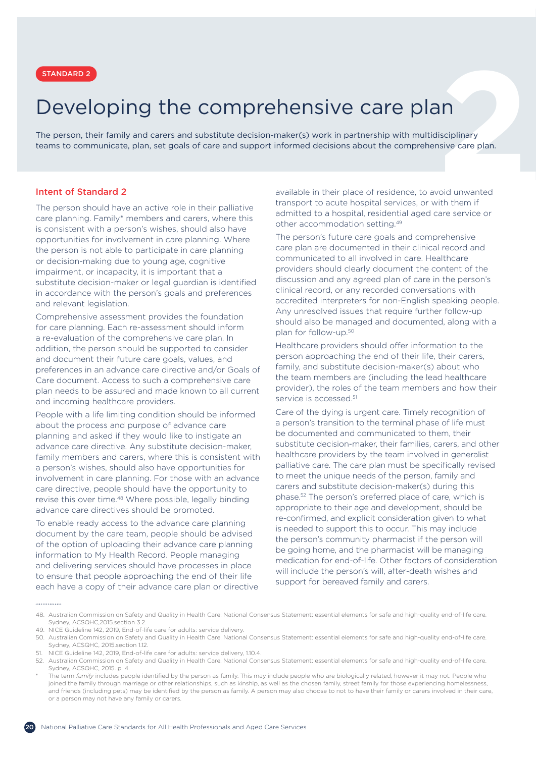# Developing the comprehensive care plan

<span id="page-19-0"></span>**2** STANDARD 2 The person, their family and carers and substitute decision-maker(s) work in partnership with multidisciplinary teams to communicate, plan, set goals of care and support informed decisions about the comprehensive care plan.

### Intent of Standard 2

The person should have an active role in their palliative care planning. Family\* members and carers, where this is consistent with a person's wishes, should also have opportunities for involvement in care planning. Where the person is not able to participate in care planning or decision-making due to young age, cognitive impairment, or incapacity, it is important that a substitute decision-maker or legal guardian is identified in accordance with the person's goals and preferences and relevant legislation.

Comprehensive assessment provides the foundation for care planning. Each re-assessment should inform a re-evaluation of the comprehensive care plan. In addition, the person should be supported to consider and document their future care goals, values, and preferences in an advance care directive and/or Goals of Care document. Access to such a comprehensive care plan needs to be assured and made known to all current and incoming healthcare providers.

People with a life limiting condition should be informed about the process and purpose of advance care planning and asked if they would like to instigate an advance care directive. Any substitute decision-maker, family members and carers, where this is consistent with a person's wishes, should also have opportunities for involvement in care planning. For those with an advance care directive, people should have the opportunity to revise this over time.<sup>48</sup> Where possible, legally binding advance care directives should be promoted.

To enable ready access to the advance care planning document by the care team, people should be advised of the option of uploading their advance care planning information to My Health Record. People managing and delivering services should have processes in place to ensure that people approaching the end of their life each have a copy of their advance care plan or directive available in their place of residence, to avoid unwanted transport to acute hospital services, or with them if admitted to a hospital, residential aged care service or other accommodation setting.49

The person's future care goals and comprehensive care plan are documented in their clinical record and communicated to all involved in care. Healthcare providers should clearly document the content of the discussion and any agreed plan of care in the person's clinical record, or any recorded conversations with accredited interpreters for non-English speaking people. Any unresolved issues that require further follow-up should also be managed and documented, along with a plan for follow-up.<sup>50</sup>

Healthcare providers should offer information to the person approaching the end of their life, their carers, family, and substitute decision-maker(s) about who the team members are (including the lead healthcare provider), the roles of the team members and how their service is accessed.<sup>51</sup>

Care of the dying is urgent care. Timely recognition of a person's transition to the terminal phase of life must be documented and communicated to them, their substitute decision-maker, their families, carers, and other healthcare providers by the team involved in generalist palliative care. The care plan must be specifically revised to meet the unique needs of the person, family and carers and substitute decision-maker(s) during this phase.52 The person's preferred place of care, which is appropriate to their age and development, should be re-confirmed, and explicit consideration given to what is needed to support this to occur. This may include the person's community pharmacist if the person will be going home, and the pharmacist will be managing medication for end-of-life. Other factors of consideration will include the person's will, after-death wishes and support for bereaved family and carers.

<sup>48.</sup> Australian Commission on Safety and Quality in Health Care. National Consensus Statement: essential elements for safe and high-quality end-of-life care. Sydney, ACSQHC,2015.section 3.2.

<sup>49.</sup> NICE Guideline 142, 2019, End-of-life care for adults: service delivery.

<sup>50.</sup> Australian Commission on Safety and Quality in Health Care. National Consensus Statement: essential elements for safe and high-quality end-of-life care. Sydney, ACSQHC, 2015.section 1.12.

<sup>51.</sup> NICE Guideline 142, 2019, End-of-life care for adults: service delivery, 1.10.4.

<sup>52.</sup> Australian Commission on Safety and Quality in Health Care. National Consensus Statement: essential elements for safe and high-quality end-of-life care. Sydney, ACSQHC, 2015. p. 4.

The term *family* includes people identified by the person as family. This may include people who are biologically related, however it may not. People who joined the family through marriage or other relationships, such as kinship, as well as the chosen family, street family for those experiencing homelessness, and friends (including pets) may be identified by the person as family. A person may also choose to not to have their family or carers involved in their care or a person may not have any family or carers.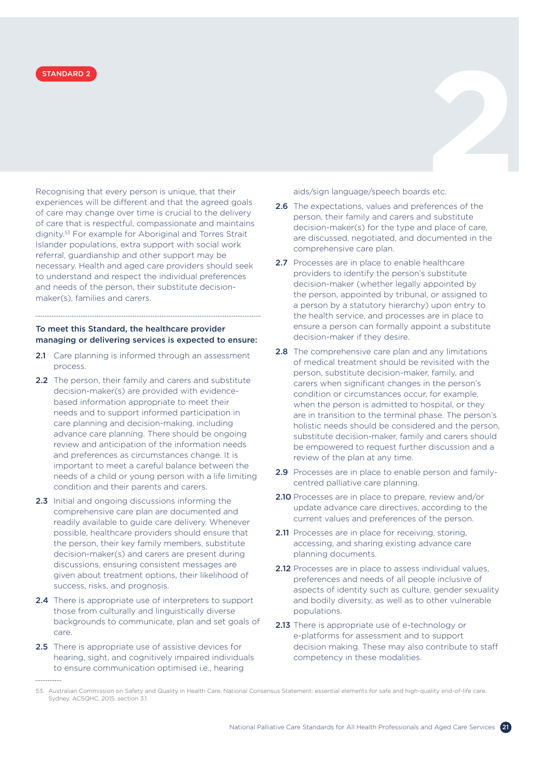Recognising that every person is unique, that their experiences will be different and that the agreed goals of care may change over time is crucial to the delivery of care that is respectful, compassionate and maintains dignity.53 For example for Aboriginal and Torres Strait Islander populations, extra support with social work referral, guardianship and other support may be necessary. Health and aged care providers should seek to understand and respect the individual preferences and needs of the person, their substitute decisionmaker(s), families and carers. **EXAMPARD 2**<br>ecognising that every person is unique, that their aids/sign language/speech boards etc.

### To meet this Standard, the healthcare provider managing or delivering services is expected to ensure:

- 2.1 Care planning is informed through an assessment process.
- 2.2 The person, their family and carers and substitute decision-maker(s) are provided with evidencebased information appropriate to meet their needs and to support informed participation in care planning and decision-making, including advance care planning. There should be ongoing review and anticipation of the information needs and preferences as circumstances change. It is important to meet a careful balance between the needs of a child or young person with a life limiting condition and their parents and carers.
- 2.3 Initial and ongoing discussions informing the comprehensive care plan are documented and readily available to guide care delivery. Whenever possible, healthcare providers should ensure that the person, their key family members, substitute decision-maker(s) and carers are present during discussions, ensuring consistent messages are given about treatment options, their likelihood of success, risks, and prognosis.
- 2.4 There is appropriate use of interpreters to support those from culturally and linguistically diverse backgrounds to communicate, plan and set goals of care.
- 2.5 There is appropriate use of assistive devices for hearing, sight, and cognitively impaired individuals to ensure communication optimised i.e., hearing

aids/sign language/speech boards etc.

- 2.6 The expectations, values and preferences of the person, their family and carers and substitute decision-maker(s) for the type and place of care, are discussed, negotiated, and documented in the comprehensive care plan.
- 2.7 Processes are in place to enable healthcare providers to identify the person's substitute decision-maker (whether legally appointed by the person, appointed by tribunal, or assigned to a person by a statutory hierarchy) upon entry to the health service, and processes are in place to ensure a person can formally appoint a substitute decision-maker if they desire.
- 2.8 The comprehensive care plan and any limitations of medical treatment should be revisited with the person, substitute decision-maker, family, and carers when significant changes in the person's condition or circumstances occur, for example, when the person is admitted to hospital, or they are in transition to the terminal phase. The person's holistic needs should be considered and the person, substitute decision-maker, family and carers should be empowered to request further discussion and a review of the plan at any time.
- 2.9 Processes are in place to enable person and familycentred palliative care planning.
- 2.10 Processes are in place to prepare, review and/or update advance care directives, according to the current values and preferences of the person.
- 2.11 Processes are in place for receiving, storing, accessing, and sharing existing advance care planning documents.
- 2.12 Processes are in place to assess individual values. preferences and needs of all people inclusive of aspects of identity such as culture, gender sexuality and bodily diversity, as well as to other vulnerable populations.
- 2.13 There is appropriate use of e-technology or e-platforms for assessment and to support decision making. These may also contribute to staff competency in these modalities.

<sup>53.</sup> Australian Commission on Safety and Quality in Health Care. National Consensus Statement: essential elements for safe and high-quality end-of-life care. Sydney, ACSQHC, 2015. section 3.1.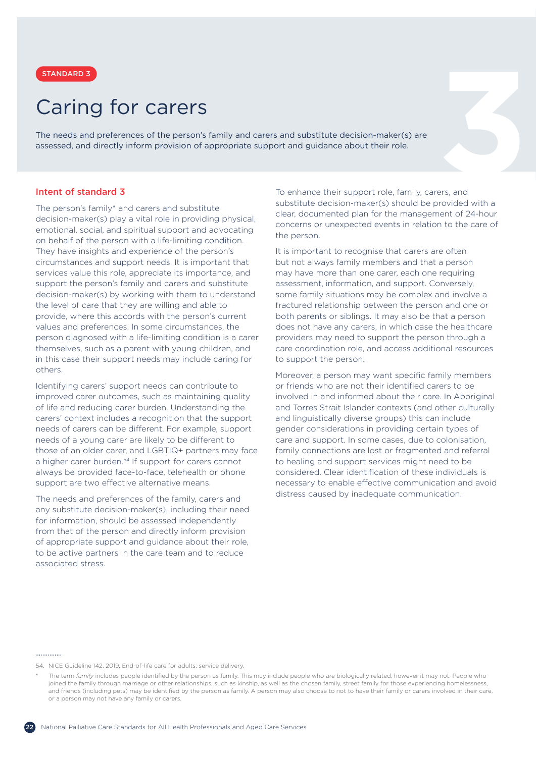

## Caring for carers

<span id="page-21-0"></span>**3** STANDARD 3 The needs and preferences of the person's family and carers and substitute decision-maker(s) are assessed, and directly inform provision of appropriate support and guidance about their role.

### Intent of standard 3

The person's family\* and carers and substitute decision-maker(s) play a vital role in providing physical, emotional, social, and spiritual support and advocating on behalf of the person with a life-limiting condition. They have insights and experience of the person's circumstances and support needs. It is important that services value this role, appreciate its importance, and support the person's family and carers and substitute decision-maker(s) by working with them to understand the level of care that they are willing and able to provide, where this accords with the person's current values and preferences. In some circumstances, the person diagnosed with a life-limiting condition is a carer themselves, such as a parent with young children, and in this case their support needs may include caring for others.

Identifying carers' support needs can contribute to improved carer outcomes, such as maintaining quality of life and reducing carer burden. Understanding the carers' context includes a recognition that the support needs of carers can be different. For example, support needs of a young carer are likely to be different to those of an older carer, and LGBTIQ+ partners may face a higher carer burden.<sup>54</sup> If support for carers cannot always be provided face-to-face, telehealth or phone support are two effective alternative means.

The needs and preferences of the family, carers and any substitute decision-maker(s), including their need for information, should be assessed independently from that of the person and directly inform provision of appropriate support and guidance about their role, to be active partners in the care team and to reduce associated stress.

To enhance their support role, family, carers, and substitute decision-maker(s) should be provided with a clear, documented plan for the management of 24-hour concerns or unexpected events in relation to the care of the person.

It is important to recognise that carers are often but not always family members and that a person may have more than one carer, each one requiring assessment, information, and support. Conversely, some family situations may be complex and involve a fractured relationship between the person and one or both parents or siblings. It may also be that a person does not have any carers, in which case the healthcare providers may need to support the person through a care coordination role, and access additional resources to support the person.

Moreover, a person may want specific family members or friends who are not their identified carers to be involved in and informed about their care. In Aboriginal and Torres Strait Islander contexts (and other culturally and linguistically diverse groups) this can include gender considerations in providing certain types of care and support. In some cases, due to colonisation, family connections are lost or fragmented and referral to healing and support services might need to be considered. Clear identification of these individuals is necessary to enable effective communication and avoid distress caused by inadequate communication.

<sup>54.</sup> NICE Guideline 142, 2019, End-of-life care for adults: service delivery.

The term *family* includes people identified by the person as family. This may include people who are biologically related, however it may not. People who joined the family through marriage or other relationships, such as kinship, as well as the chosen family, street family for those experiencing homelessness, and friends (including pets) may be identified by the person as family. A person may also choose to not to have their family or carers involved in their care or a person may not have any family or carers.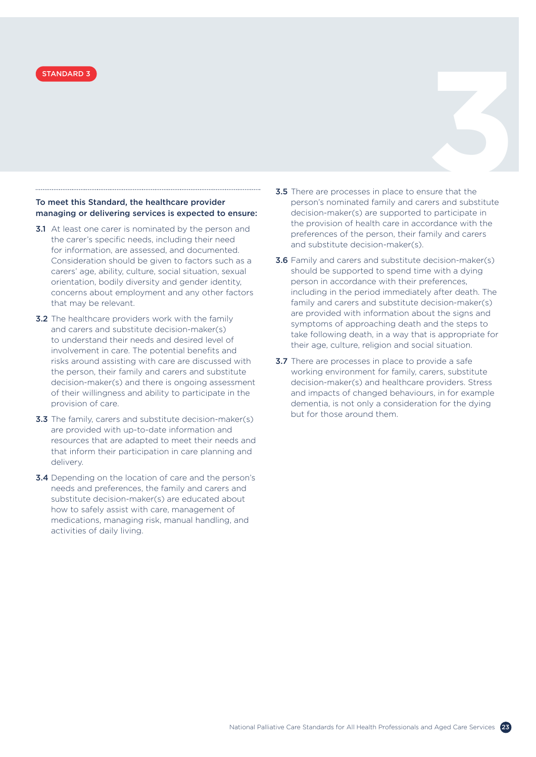

### To meet this Standard, the healthcare provider managing or delivering services is expected to ensure:

- **3.1** At least one carer is nominated by the person and the carer's specific needs, including their need for information, are assessed, and documented. Consideration should be given to factors such as a carers' age, ability, culture, social situation, sexual orientation, bodily diversity and gender identity, concerns about employment and any other factors that may be relevant.
- **3.2** The healthcare providers work with the family and carers and substitute decision-maker(s) to understand their needs and desired level of involvement in care. The potential benefits and risks around assisting with care are discussed with the person, their family and carers and substitute decision-maker(s) and there is ongoing assessment of their willingness and ability to participate in the provision of care.
- **3.3** The family, carers and substitute decision-maker(s) are provided with up-to-date information and resources that are adapted to meet their needs and that inform their participation in care planning and delivery.
- **3.4** Depending on the location of care and the person's needs and preferences, the family and carers and substitute decision-maker(s) are educated about how to safely assist with care, management of medications, managing risk, manual handling, and activities of daily living.
- 3.5 There are processes in place to ensure that the person's nominated family and carers and substitute decision-maker(s) are supported to participate in the provision of health care in accordance with the preferences of the person, their family and carers and substitute decision-maker(s). **STANDARD 3**<br>**3.5** There are processes in place to ensure that the
	- **3.6** Family and carers and substitute decision-maker(s) should be supported to spend time with a dying person in accordance with their preferences, including in the period immediately after death. The family and carers and substitute decision-maker(s) are provided with information about the signs and symptoms of approaching death and the steps to take following death, in a way that is appropriate for their age, culture, religion and social situation.
	- **3.7** There are processes in place to provide a safe working environment for family, carers, substitute decision-maker(s) and healthcare providers. Stress and impacts of changed behaviours, in for example dementia, is not only a consideration for the dying but for those around them.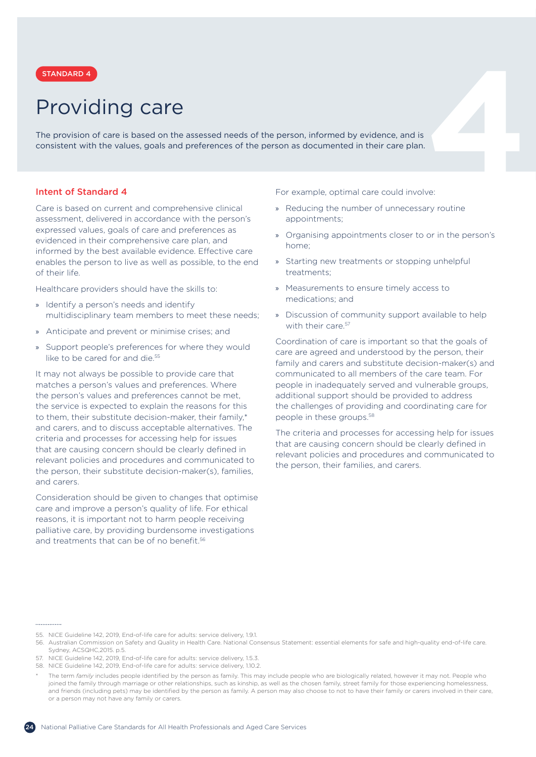### Providing care

<span id="page-23-0"></span>**4**<br>**2 a 4 a 2 a 6 a 6 a 6 a 6 a 6 a 6 a 6 a 6 a e a 6 a e a e a e a e a e a e a e a e e e e a e a e e e e e a e e** The provision of care is based on the assessed needs of the person, informed by evidence, and is consistent with the values, goals and preferences of the person as documented in their care plan.

### Intent of Standard 4

Care is based on current and comprehensive clinical assessment, delivered in accordance with the person's expressed values, goals of care and preferences as evidenced in their comprehensive care plan, and informed by the best available evidence. Effective care enables the person to live as well as possible, to the end of their life.

Healthcare providers should have the skills to:

- » Identify a person's needs and identify multidisciplinary team members to meet these needs;
- » Anticipate and prevent or minimise crises; and
- » Support people's preferences for where they would like to be cared for and die.<sup>55</sup>

It may not always be possible to provide care that matches a person's values and preferences. Where the person's values and preferences cannot be met, the service is expected to explain the reasons for this to them, their substitute decision-maker, their family,\* and carers, and to discuss acceptable alternatives. The criteria and processes for accessing help for issues that are causing concern should be clearly defined in relevant policies and procedures and communicated to the person, their substitute decision-maker(s), families, and carers.

Consideration should be given to changes that optimise care and improve a person's quality of life. For ethical reasons, it is important not to harm people receiving palliative care, by providing burdensome investigations and treatments that can be of no benefit.<sup>56</sup>

For example, optimal care could involve:

- » Reducing the number of unnecessary routine appointments;
- » Organising appointments closer to or in the person's home;
- » Starting new treatments or stopping unhelpful treatments;
- » Measurements to ensure timely access to medications; and
- » Discussion of community support available to help with their care 57

Coordination of care is important so that the goals of care are agreed and understood by the person, their family and carers and substitute decision-maker(s) and communicated to all members of the care team. For people in inadequately served and vulnerable groups, additional support should be provided to address the challenges of providing and coordinating care for people in these groups.<sup>58</sup>

The criteria and processes for accessing help for issues that are causing concern should be clearly defined in relevant policies and procedures and communicated to the person, their families, and carers.

.............

<sup>55.</sup> NICE Guideline 142, 2019, End-of-life care for adults: service delivery, 1.9.1.

<sup>56.</sup> Australian Commission on Safety and Quality in Health Care. National Consensus Statement: essential elements for safe and high-quality end-of-life care. Sydney, ACSQHC,2015. p.5.

<sup>57.</sup> NICE Guideline 142, 2019, End-of-life care for adults: service delivery, 1.5.3.

<sup>58.</sup> NICE Guideline 142, 2019, End-of-life care for adults: service delivery, 1.10.2.

The term *family* includes people identified by the person as family. This may include people who are biologically related, however it may not. People who joined the family through marriage or other relationships, such as kinship, as well as the chosen family, street family for those experiencing homelessness and friends (including pets) may be identified by the person as family. A person may also choose to not to have their family or carers involved in their care or a person may not have any family or carers.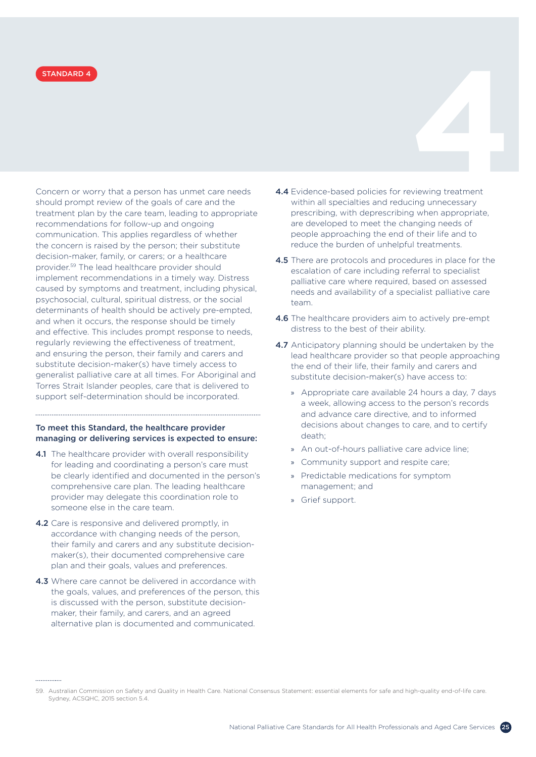Concern or worry that a person has unmet care needs should prompt review of the goals of care and the treatment plan by the care team, leading to appropriate recommendations for follow-up and ongoing communication. This applies regardless of whether the concern is raised by the person; their substitute decision-maker, family, or carers; or a healthcare provider.59 The lead healthcare provider should implement recommendations in a timely way. Distress caused by symptoms and treatment, including physical, psychosocial, cultural, spiritual distress, or the social determinants of health should be actively pre-empted, and when it occurs, the response should be timely and effective. This includes prompt response to needs, regularly reviewing the effectiveness of treatment, and ensuring the person, their family and carers and substitute decision-maker(s) have timely access to generalist palliative care at all times. For Aboriginal and Torres Strait Islander peoples, care that is delivered to support self-determination should be incorporated.

### To meet this Standard, the healthcare provider managing or delivering services is expected to ensure:

- 4.1 The healthcare provider with overall responsibility for leading and coordinating a person's care must be clearly identified and documented in the person's comprehensive care plan. The leading healthcare provider may delegate this coordination role to someone else in the care team.
- 4.2 Care is responsive and delivered promptly, in accordance with changing needs of the person, their family and carers and any substitute decisionmaker(s), their documented comprehensive care plan and their goals, values and preferences.
- 4.3 Where care cannot be delivered in accordance with the goals, values, and preferences of the person, this is discussed with the person, substitute decisionmaker, their family, and carers, and an agreed alternative plan is documented and communicated.

- 4.4 Evidence-based policies for reviewing treatment within all specialties and reducing unnecessary prescribing, with deprescribing when appropriate, are developed to meet the changing needs of people approaching the end of their life and to reduce the burden of unhelpful treatments. **STANDARD 4**<br> **4.4** Evidence-based policies for reviewing treatment<br> **4.4** Evidence-based policies for reviewing treatment
	- 4.5 There are protocols and procedures in place for the escalation of care including referral to specialist palliative care where required, based on assessed needs and availability of a specialist palliative care team.
	- 4.6 The healthcare providers aim to actively pre-empt distress to the best of their ability.
	- 4.7 Anticipatory planning should be undertaken by the lead healthcare provider so that people approaching the end of their life, their family and carers and substitute decision-maker(s) have access to:
		- » Appropriate care available 24 hours a day, 7 days a week, allowing access to the person's records and advance care directive, and to informed decisions about changes to care, and to certify death;
		- » An out-of-hours palliative care advice line;
		- » Community support and respite care;
		- » Predictable medications for symptom management; and
		- » Grief support.

<sup>59.</sup> Australian Commission on Safety and Quality in Health Care. National Consensus Statement: essential elements for safe and high-quality end-of-life care. Sydney, ACSQHC, 2015 section 5.4.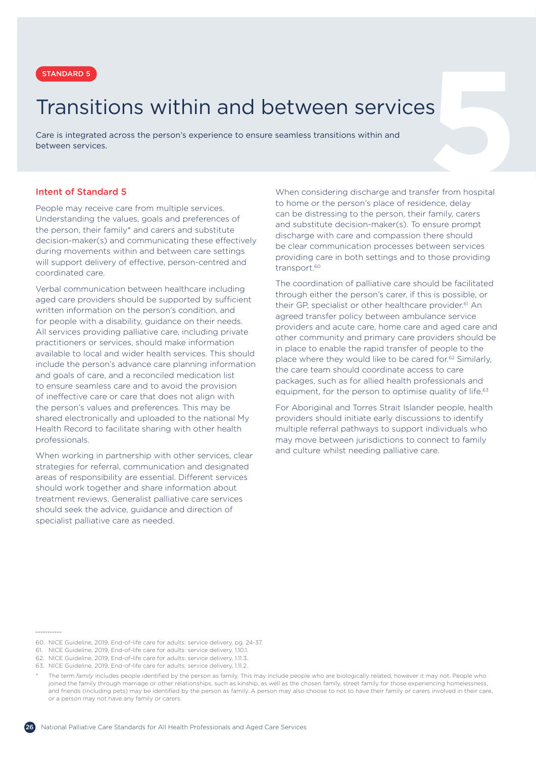# <span id="page-25-0"></span>**57ANDARD 5**<br> **57ANDARD 5**<br> **57ANSITIONS WITHIN AND DETWEEN SETVICES**<br>
are is integrated across the person's experience to ensure seamless transitions within and<br>
etween services.<br> **112011-112011-1120**<br>
When considering di Transitions within and between services

Care is integrated across the person's experience to ensure seamless transitions within and between services.

### Intent of Standard 5

People may receive care from multiple services. Understanding the values, goals and preferences of the person, their family\* and carers and substitute decision-maker(s) and communicating these effectively during movements within and between care settings will support delivery of effective, person-centred and coordinated care.

Verbal communication between healthcare including aged care providers should be supported by sufficient written information on the person's condition, and for people with a disability, guidance on their needs. All services providing palliative care, including private practitioners or services, should make information available to local and wider health services. This should include the person's advance care planning information and goals of care, and a reconciled medication list to ensure seamless care and to avoid the provision of ineffective care or care that does not align with the person's values and preferences. This may be shared electronically and uploaded to the national My Health Record to facilitate sharing with other health professionals.

When working in partnership with other services, clear strategies for referral, communication and designated areas of responsibility are essential. Different services should work together and share information about treatment reviews. Generalist palliative care services should seek the advice, guidance and direction of specialist palliative care as needed.

When considering discharge and transfer from hospital to home or the person's place of residence, delay can be distressing to the person, their family, carers and substitute decision-maker(s). To ensure prompt discharge with care and compassion there should be clear communication processes between services providing care in both settings and to those providing transport.<sup>60</sup>

The coordination of palliative care should be facilitated through either the person's carer, if this is possible, or their GP, specialist or other healthcare provider.<sup>61</sup> An agreed transfer policy between ambulance service providers and acute care, home care and aged care and other community and primary care providers should be in place to enable the rapid transfer of people to the place where they would like to be cared for.<sup>62</sup> Similarly, the care team should coordinate access to care packages, such as for allied health professionals and equipment, for the person to optimise quality of life.<sup>63</sup>

For Aboriginal and Torres Strait Islander people, health providers should initiate early discussions to identify multiple referral pathways to support individuals who may move between jurisdictions to connect to family and culture whilst needing palliative care.

<sup>60.</sup> NICE Guideline, 2019, End-of-life care for adults: service delivery, pg. 24-37.

<sup>61.</sup> NICE Guideline, 2019, End-of-life care for adults: service delivery, 1.10.1.

<sup>62.</sup> NICE Guideline, 2019, End-of-life care for adults: service delivery, 1.11.3.

<sup>63.</sup> NICE Guideline, 2019, End-of-life care for adults: service delivery, 1.11.2.

The term *family* includes people identified by the person as family. This may include people who are biologically related, however it may not. People who joined the family through marriage or other relationships, such as kinship, as well as the chosen family, street family for those experiencing homelessness, and friends (including pets) may be identified by the person as family. A person may also choose to not to have their family or carers involved in their care or a person may not have any family or carers.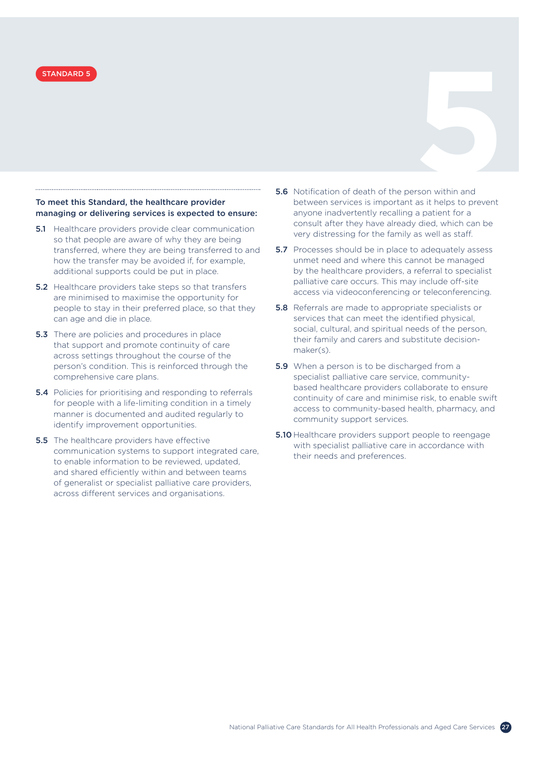### To meet this Standard, the healthcare provider managing or delivering services is expected to ensure:

- **5.1** Healthcare providers provide clear communication so that people are aware of why they are being transferred, where they are being transferred to and how the transfer may be avoided if, for example, additional supports could be put in place.
- **5.2** Healthcare providers take steps so that transfers are minimised to maximise the opportunity for people to stay in their preferred place, so that they can age and die in place.
- **5.3** There are policies and procedures in place that support and promote continuity of care across settings throughout the course of the person's condition. This is reinforced through the comprehensive care plans.
- **5.4** Policies for prioritising and responding to referrals for people with a life-limiting condition in a timely manner is documented and audited regularly to identify improvement opportunities.
- **5.5** The healthcare providers have effective communication systems to support integrated care, to enable information to be reviewed, updated, and shared efficiently within and between teams of generalist or specialist palliative care providers, across different services and organisations.
- **5.6** Notification of death of the person within and between services is important as it helps to prevent anyone inadvertently recalling a patient for a consult after they have already died, which can be very distressing for the family as well as staff. **STANDARD 5**<br> **5.6** Notification of death of the person within and the state of the state of the state of the state of the state of the state of the state of the state of the state of the state of the state of the state of
	- **5.7** Processes should be in place to adequately assess unmet need and where this cannot be managed by the healthcare providers, a referral to specialist palliative care occurs. This may include off-site access via videoconferencing or teleconferencing.
	- **5.8** Referrals are made to appropriate specialists or services that can meet the identified physical, social, cultural, and spiritual needs of the person, their family and carers and substitute decisionmaker(s).
	- **5.9** When a person is to be discharged from a specialist palliative care service, communitybased healthcare providers collaborate to ensure continuity of care and minimise risk, to enable swift access to community-based health, pharmacy, and community support services.
	- **5.10** Healthcare providers support people to reengage with specialist palliative care in accordance with their needs and preferences.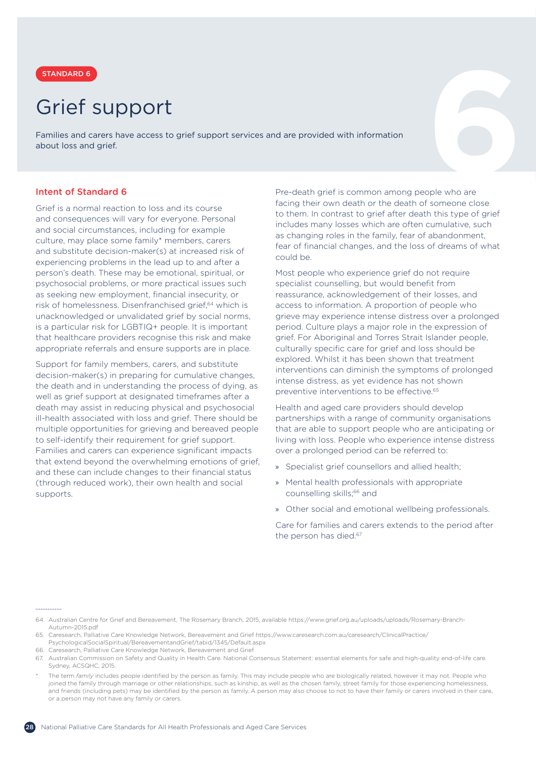

## Grief support

<span id="page-27-0"></span>**6** STANDARD 6 Families and carers have access to grief support services and are provided with information about loss and grief.

### Intent of Standard 6

Grief is a normal reaction to loss and its course and consequences will vary for everyone. Personal and social circumstances, including for example culture, may place some family\* members, carers and substitute decision-maker(s) at increased risk of experiencing problems in the lead up to and after a person's death. These may be emotional, spiritual, or psychosocial problems, or more practical issues such as seeking new employment, financial insecurity, or risk of homelessness. Disenfranchised grief,<sup>64</sup> which is unacknowledged or unvalidated grief by social norms, is a particular risk for LGBTIQ+ people. It is important that healthcare providers recognise this risk and make appropriate referrals and ensure supports are in place.

Support for family members, carers, and substitute decision-maker(s) in preparing for cumulative changes, the death and in understanding the process of dying, as well as grief support at designated timeframes after a death may assist in reducing physical and psychosocial ill-health associated with loss and grief. There should be multiple opportunities for grieving and bereaved people to self-identify their requirement for grief support. Families and carers can experience significant impacts that extend beyond the overwhelming emotions of grief, and these can include changes to their financial status (through reduced work), their own health and social supports.

Pre-death grief is common among people who are facing their own death or the death of someone close to them. In contrast to grief after death this type of grief includes many losses which are often cumulative, such as changing roles in the family, fear of abandonment, fear of financial changes, and the loss of dreams of what could be.

Most people who experience grief do not require specialist counselling, but would benefit from reassurance, acknowledgement of their losses, and access to information. A proportion of people who grieve may experience intense distress over a prolonged period. Culture plays a major role in the expression of grief. For Aboriginal and Torres Strait Islander people, culturally specific care for grief and loss should be explored. Whilst it has been shown that treatment interventions can diminish the symptoms of prolonged intense distress, as yet evidence has not shown preventive interventions to be effective.<sup>65</sup>

Health and aged care providers should develop partnerships with a range of community organisations that are able to support people who are anticipating or living with loss. People who experience intense distress over a prolonged period can be referred to:

- » Specialist grief counsellors and allied health;
- » Mental health professionals with appropriate counselling skills;<sup>66</sup> and
- » Other social and emotional wellbeing professionals.

Care for families and carers extends to the period after the person has died.<sup>67</sup>

.............

66. Caresearch, Palliative Care Knowledge Network, Bereavement and Grief

<sup>64.</sup> Australian Centre for Grief and Bereavement, The Rosemary Branch, 2015, available https://www.grief.org.au/uploads/uploads/Rosemary-Branch-Autumn-2015.pdf

<sup>65.</sup> Caresearch, Palliative Care Knowledge Network, Bereavement and Grief https://www.caresearch.com.au/caresearch/ClinicalPractice/ PsychologicalSocialSpiritual/BereavementandGrief/tabid/1345/Default.aspx

<sup>67.</sup> Australian Commission on Safety and Quality in Health Care. National Consensus Statement: essential elements for safe and high-quality end-of-life care. Sydney, ACSQHC, 2015.

The term *family* includes people identified by the person as family. This may include people who are biologically related, however it may not. People who joined the family through marriage or other relationships, such as kinship, as well as the chosen family, street family for those experiencing homelessness, and friends (including pets) may be identified by the person as family. A person may also choose to not to have their family or carers involved in their care or a person may not have any family or carers.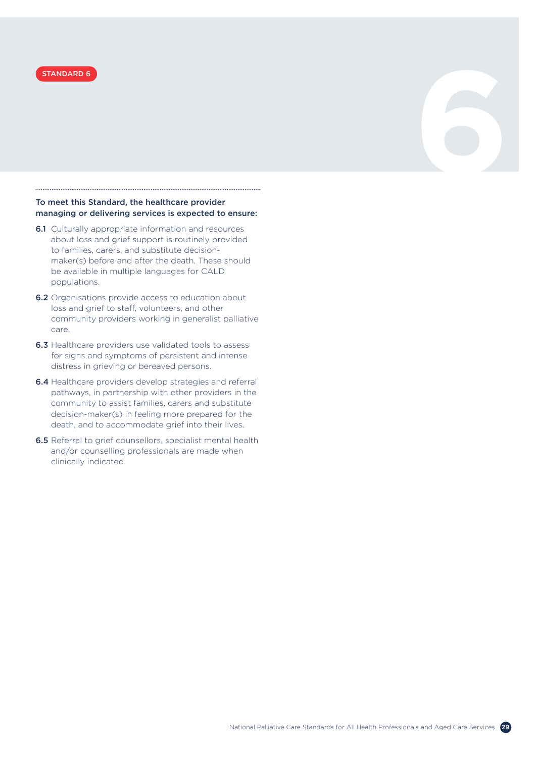

### To meet this Standard, the healthcare provider managing or delivering services is expected to ensure:

- **6.1** Culturally appropriate information and resources about loss and grief support is routinely provided to families, carers, and substitute decisionmaker(s) before and after the death. These should be available in multiple languages for CALD populations.
- **6.2** Organisations provide access to education about loss and grief to staff, volunteers, and other community providers working in generalist palliative care.
- 6.3 Healthcare providers use validated tools to assess for signs and symptoms of persistent and intense distress in grieving or bereaved persons.
- 6.4 Healthcare providers develop strategies and referral pathways, in partnership with other providers in the community to assist families, carers and substitute decision-maker(s) in feeling more prepared for the death, and to accommodate grief into their lives.
- 6.5 Referral to grief counsellors, specialist mental health and/or counselling professionals are made when clinically indicated.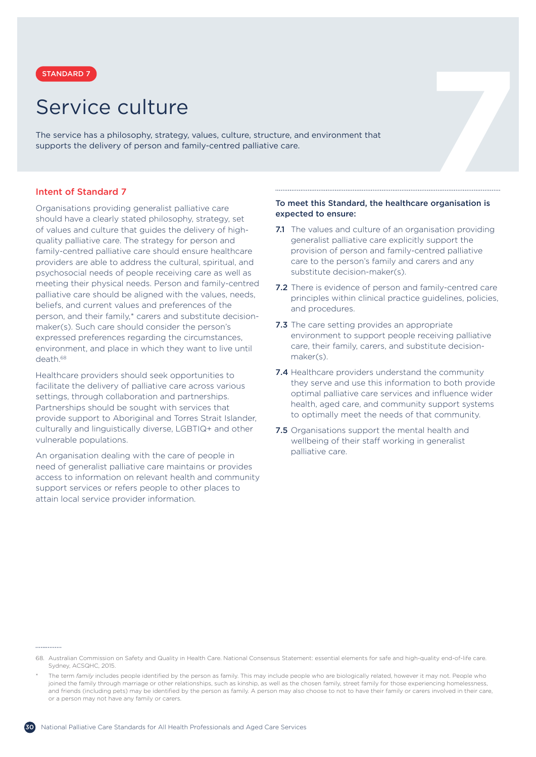

### Service culture

<span id="page-29-0"></span>**5TANDARD 7**<br> **5 CAVICE CUITUITE**<br>
the service has a philosophy, strategy, values, culture, structure, and environment that<br>
upports the delivery of person and family-centred palliative care.<br> **11.1.1.1.1.1.1.1.1.1.1.1.1.1** The service has a philosophy, strategy, values, culture, structure, and environment that supports the delivery of person and family-centred palliative care.

### Intent of Standard 7

Organisations providing generalist palliative care should have a clearly stated philosophy, strategy, set of values and culture that guides the delivery of highquality palliative care. The strategy for person and family-centred palliative care should ensure healthcare providers are able to address the cultural, spiritual, and psychosocial needs of people receiving care as well as meeting their physical needs. Person and family-centred palliative care should be aligned with the values, needs, beliefs, and current values and preferences of the person, and their family,\* carers and substitute decisionmaker(s). Such care should consider the person's expressed preferences regarding the circumstances, environment, and place in which they want to live until death.68

Healthcare providers should seek opportunities to facilitate the delivery of palliative care across various settings, through collaboration and partnerships. Partnerships should be sought with services that provide support to Aboriginal and Torres Strait Islander, culturally and linguistically diverse, LGBTIQ+ and other vulnerable populations.

An organisation dealing with the care of people in need of generalist palliative care maintains or provides access to information on relevant health and community support services or refers people to other places to attain local service provider information.

### To meet this Standard, the healthcare organisation is expected to ensure:

- 7.1 The values and culture of an organisation providing generalist palliative care explicitly support the provision of person and family-centred palliative care to the person's family and carers and any substitute decision-maker(s).
- 7.2 There is evidence of person and family-centred care principles within clinical practice guidelines, policies, and procedures.
- 7.3 The care setting provides an appropriate environment to support people receiving palliative care, their family, carers, and substitute decisionmaker(s).
- 7.4 Healthcare providers understand the community they serve and use this information to both provide optimal palliative care services and influence wider health, aged care, and community support systems to optimally meet the needs of that community.
- **7.5** Organisations support the mental health and wellbeing of their staff working in generalist palliative care.

- 68. Australian Commission on Safety and Quality in Health Care. National Consensus Statement: essential elements for safe and high-quality end-of-life care. Sydney, ACSQHC, 2015.
- The term *family* includes people identified by the person as family. This may include people who are biologically related, however it may not. People who joined the family through marriage or other relationships, such as kinship, as well as the chosen family, street family for those experiencing homelessness, and friends (including pets) may be identified by the person as family. A person may also choose to not to have their family or carers involved in their care or a person may not have any family or carers.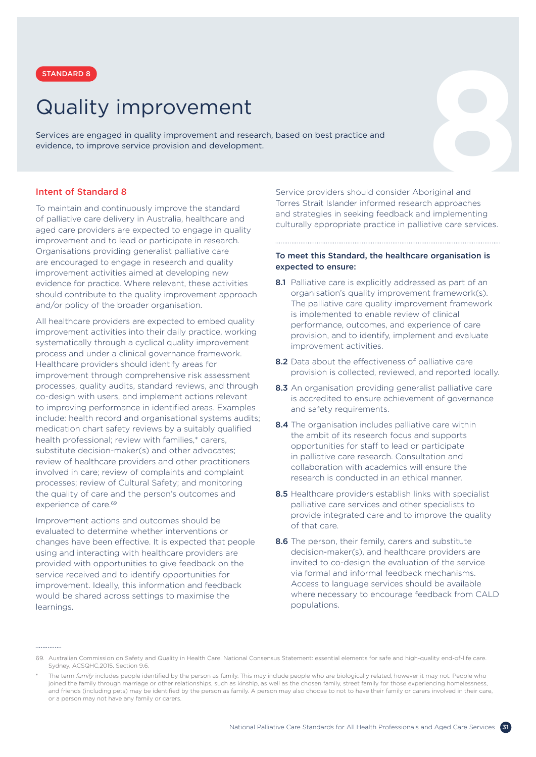

# Quality improvement

<span id="page-30-0"></span>**STANDARD 8**<br> **AUALITY IMPYOVEMENT**<br>
Pervices are engaged in quality improvement and research, based on best practice and<br>
vidence, to improve service provision and development.<br> **AUALITY IMPYOVEMENT**<br>
Service providers sh Services are engaged in quality improvement and research, based on best practice and evidence, to improve service provision and development.

### Intent of Standard 8

To maintain and continuously improve the standard of palliative care delivery in Australia, healthcare and aged care providers are expected to engage in quality improvement and to lead or participate in research. Organisations providing generalist palliative care are encouraged to engage in research and quality improvement activities aimed at developing new evidence for practice. Where relevant, these activities should contribute to the quality improvement approach and/or policy of the broader organisation.

All healthcare providers are expected to embed quality improvement activities into their daily practice, working systematically through a cyclical quality improvement process and under a clinical governance framework. Healthcare providers should identify areas for improvement through comprehensive risk assessment processes, quality audits, standard reviews, and through co-design with users, and implement actions relevant to improving performance in identified areas. Examples include: health record and organisational systems audits; medication chart safety reviews by a suitably qualified health professional; review with families,\* carers, substitute decision-maker(s) and other advocates; review of healthcare providers and other practitioners involved in care; review of complaints and complaint processes; review of Cultural Safety; and monitoring the quality of care and the person's outcomes and experience of care.<sup>69</sup>

Improvement actions and outcomes should be evaluated to determine whether interventions or changes have been effective. It is expected that people using and interacting with healthcare providers are provided with opportunities to give feedback on the service received and to identify opportunities for improvement. Ideally, this information and feedback would be shared across settings to maximise the learnings.

Service providers should consider Aboriginal and Torres Strait Islander informed research approaches and strategies in seeking feedback and implementing culturally appropriate practice in palliative care services.

### To meet this Standard, the healthcare organisation is expected to ensure:

- 8.1 Palliative care is explicitly addressed as part of an organisation's quality improvement framework(s). The palliative care quality improvement framework is implemented to enable review of clinical performance, outcomes, and experience of care provision, and to identify, implement and evaluate improvement activities.
- 8.2 Data about the effectiveness of palliative care provision is collected, reviewed, and reported locally.
- 8.3 An organisation providing generalist palliative care is accredited to ensure achievement of governance and safety requirements.
- 8.4 The organisation includes palliative care within the ambit of its research focus and supports opportunities for staff to lead or participate in palliative care research. Consultation and collaboration with academics will ensure the research is conducted in an ethical manner.
- 8.5 Healthcare providers establish links with specialist palliative care services and other specialists to provide integrated care and to improve the quality of that care.
- 8.6 The person, their family, carers and substitute decision-maker(s), and healthcare providers are invited to co-design the evaluation of the service via formal and informal feedback mechanisms. Access to language services should be available where necessary to encourage feedback from CALD populations.

- 69. Australian Commission on Safety and Quality in Health Care. National Consensus Statement: essential elements for safe and high-quality end-of-life care. Sydney, ACSQHC,2015. Section 9.6.
- The term *family* includes people identified by the person as family. This may include people who are biologically related, however it may not. People who joined the family through marriage or other relationships, such as kinship, as well as the chosen family, street family for those experiencing homelessness, and friends (including pets) may be identified by the person as family. A person may also choose to not to have their family or carers involved in their care or a person may not have any family or carers.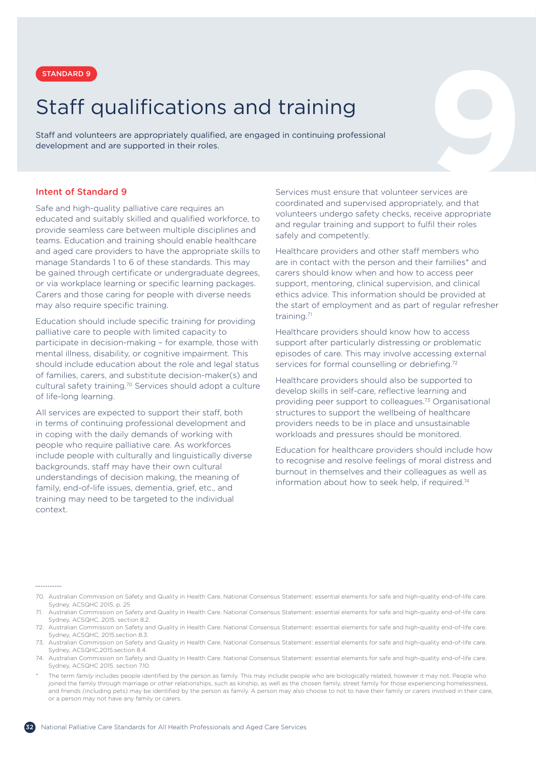

# <span id="page-31-0"></span>**STANDARD 9**<br> **Staff qualifications and training**<br>
exelopment and are supported in their roles.<br> **1991 - Services must ensure that volunteer services are**<br> **1991 - Services must ensure that volunteer services are**<br> **1991 -**Staff qualifications and training

Staff and volunteers are appropriately qualified, are engaged in continuing professional development and are supported in their roles.

### Intent of Standard 9

Safe and high-quality palliative care requires an educated and suitably skilled and qualified workforce, to provide seamless care between multiple disciplines and teams. Education and training should enable healthcare and aged care providers to have the appropriate skills to manage Standards 1 to 6 of these standards. This may be gained through certificate or undergraduate degrees, or via workplace learning or specific learning packages. Carers and those caring for people with diverse needs may also require specific training.

Education should include specific training for providing palliative care to people with limited capacity to participate in decision-making – for example, those with mental illness, disability, or cognitive impairment. This should include education about the role and legal status of families, carers, and substitute decision-maker(s) and cultural safety training.<sup>70</sup> Services should adopt a culture of life-long learning.

All services are expected to support their staff, both in terms of continuing professional development and in coping with the daily demands of working with people who require palliative care. As workforces include people with culturally and linguistically diverse backgrounds, staff may have their own cultural understandings of decision making, the meaning of family, end-of-life issues, dementia, grief, etc., and training may need to be targeted to the individual context.

Services must ensure that volunteer services are coordinated and supervised appropriately, and that volunteers undergo safety checks, receive appropriate and regular training and support to fulfil their roles safely and competently.

Healthcare providers and other staff members who are in contact with the person and their families\* and carers should know when and how to access peer support, mentoring, clinical supervision, and clinical ethics advice. This information should be provided at the start of employment and as part of regular refresher training<sup>71</sup>

Healthcare providers should know how to access support after particularly distressing or problematic episodes of care. This may involve accessing external services for formal counselling or debriefing.<sup>72</sup>

Healthcare providers should also be supported to develop skills in self-care, reflective learning and providing peer support to colleagues.73 Organisational structures to support the wellbeing of healthcare providers needs to be in place and unsustainable workloads and pressures should be monitored.

Education for healthcare providers should include how to recognise and resolve feelings of moral distress and burnout in themselves and their colleagues as well as information about how to seek help, if required.<sup>74</sup>

<sup>70.</sup> Australian Commission on Safety and Quality in Health Care. National Consensus Statement: essential elements for safe and high-quality end-of-life care. Sydney. ACSQHC 2015. p. 25

<sup>71.</sup> Australian Commission on Safety and Quality in Health Care. National Consensus Statement: essential elements for safe and high-quality end-of-life care. Sydney, ACSQHC, 2015. section 8.2.

<sup>72.</sup> Australian Commission on Safety and Quality in Health Care. National Consensus Statement: essential elements for safe and high-quality end-of-life care. Sydney, ACSQHC, 2015.section 8.3.

<sup>73.</sup> Australian Commission on Safety and Quality in Health Care. National Consensus Statement: essential elements for safe and high-quality end-of-life care. Sydney, ACSQHC,2015.section 8.4.

<sup>74.</sup> Australian Commission on Safety and Quality in Health Care. National Consensus Statement: essential elements for safe and high-quality end-of-life care. Sydney, ACSQHC 2015. section 7.10.

The term *family* includes people identified by the person as family. This may include people who are biologically related, however it may not. People who joined the family through marriage or other relationships, such as kinship, as well as the chosen family, street family for those experiencing homelessness, and friends (including pets) may be identified by the person as family. A person may also choose to not to have their family or carers involved in their care or a person may not have any family or carers.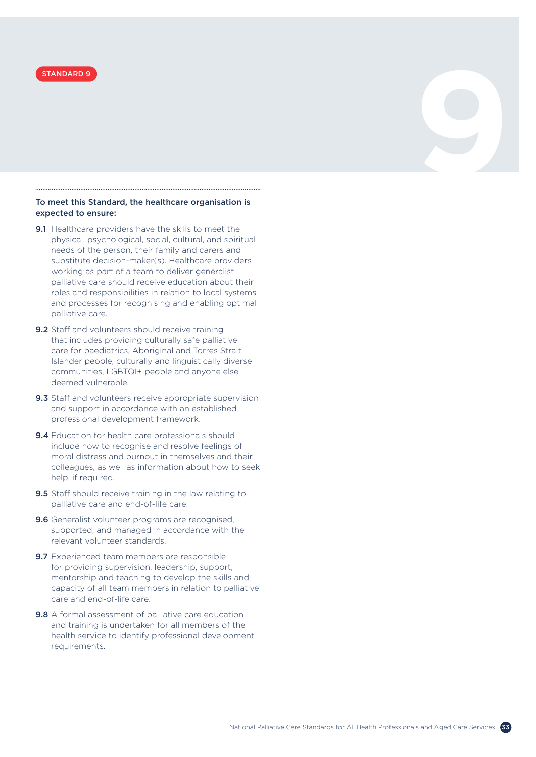

### To meet this Standard, the healthcare organisation is expected to ensure:

- **9.1** Healthcare providers have the skills to meet the physical, psychological, social, cultural, and spiritual needs of the person, their family and carers and substitute decision-maker(s). Healthcare providers working as part of a team to deliver generalist palliative care should receive education about their roles and responsibilities in relation to local systems and processes for recognising and enabling optimal palliative care.
- 9.2 Staff and volunteers should receive training that includes providing culturally safe palliative care for paediatrics, Aboriginal and Torres Strait Islander people, culturally and linguistically diverse communities, LGBTQI+ people and anyone else deemed vulnerable.
- 9.3 Staff and volunteers receive appropriate supervision and support in accordance with an established professional development framework.
- 9.4 Education for health care professionals should include how to recognise and resolve feelings of moral distress and burnout in themselves and their colleagues, as well as information about how to seek help, if required.
- 9.5 Staff should receive training in the law relating to palliative care and end-of-life care.
- 9.6 Generalist volunteer programs are recognised, supported, and managed in accordance with the relevant volunteer standards.
- 9.7 Experienced team members are responsible for providing supervision, leadership, support, mentorship and teaching to develop the skills and capacity of all team members in relation to palliative care and end-of-life care.
- 9.8 A formal assessment of palliative care education and training is undertaken for all members of the health service to identify professional development requirements.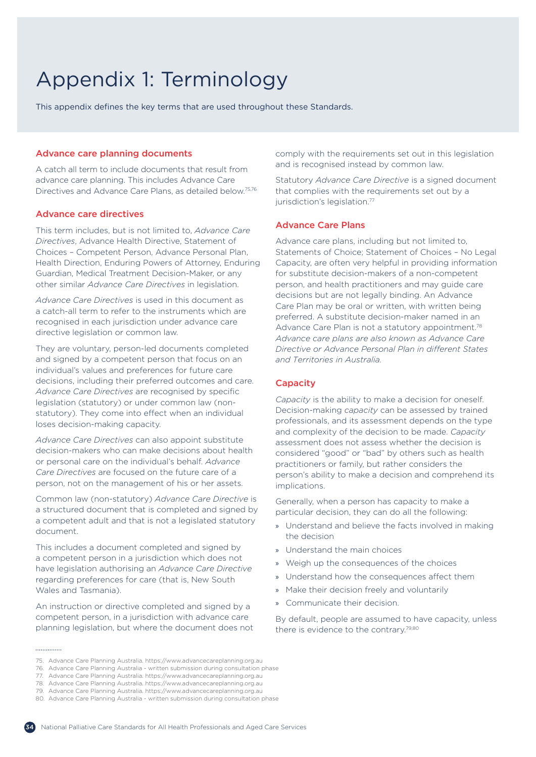# <span id="page-33-0"></span>Appendix 1: Terminology

This appendix defines the key terms that are used throughout these Standards.

### Advance care planning documents

A catch all term to include documents that result from advance care planning. This includes Advance Care Directives and Advance Care Plans, as detailed below.75,76

### Advance care directives

This term includes, but is not limited to, *Advance Care Directives*, Advance Health Directive, Statement of Choices – Competent Person, Advance Personal Plan, Health Direction, Enduring Powers of Attorney, Enduring Guardian, Medical Treatment Decision-Maker, or any other similar *Advance Care Directives* in legislation.

*Advance Care Directives* is used in this document as a catch-all term to refer to the instruments which are recognised in each jurisdiction under advance care directive legislation or common law.

They are voluntary, person-led documents completed and signed by a competent person that focus on an individual's values and preferences for future care decisions, including their preferred outcomes and care. *Advance Care Directives* are recognised by specific legislation (statutory) or under common law (nonstatutory). They come into effect when an individual loses decision-making capacity.

*Advance Care Directives* can also appoint substitute decision-makers who can make decisions about health or personal care on the individual's behalf. *Advance Care Directives* are focused on the future care of a person, not on the management of his or her assets.

Common law (non-statutory) *Advance Care Directive* is a structured document that is completed and signed by a competent adult and that is not a legislated statutory document.

This includes a document completed and signed by a competent person in a jurisdiction which does not have legislation authorising an *Advance Care Directive* regarding preferences for care (that is, New South Wales and Tasmania).

An instruction or directive completed and signed by a competent person, in a jurisdiction with advance care planning legislation, but where the document does not comply with the requirements set out in this legislation and is recognised instead by common law.

Statutory *Advance Care Directive* is a signed document that complies with the requirements set out by a jurisdiction's legislation.<sup>77</sup>

### Advance Care Plans

Advance care plans, including but not limited to, Statements of Choice; Statement of Choices – No Legal Capacity, are often very helpful in providing information for substitute decision-makers of a non-competent person, and health practitioners and may guide care decisions but are not legally binding. An Advance Care Plan may be oral or written, with written being preferred. A substitute decision-maker named in an Advance Care Plan is not a statutory appointment.<sup>78</sup> *Advance care plans are also known as Advance Care Directive or Advance Personal Plan in different States and Territories in Australia.*

### **Capacity**

*Capacity* is the ability to make a decision for oneself. Decision-making *capacity* can be assessed by trained professionals, and its assessment depends on the type and complexity of the decision to be made. *Capacity* assessment does not assess whether the decision is considered "good" or "bad" by others such as health practitioners or family, but rather considers the person's ability to make a decision and comprehend its implications.

Generally, when a person has capacity to make a particular decision, they can do all the following:

- » Understand and believe the facts involved in making the decision
- » Understand the main choices
- » Weigh up the consequences of the choices
- » Understand how the consequences affect them
- » Make their decision freely and voluntarily
- » Communicate their decision.

By default, people are assumed to have capacity, unless there is evidence to the contrary.79,<sup>80</sup>

75. Advance Care Planning Australia. https://www.advancecareplanning.org.au



<sup>76.</sup> Advance Care Planning Australia - written submission during consultation phase

<sup>77.</sup> Advance Care Planning Australia. https://www.advancecareplanning.org.au

<sup>78.</sup> Advance Care Planning Australia. https://www.advancecareplanning.org.au

<sup>79.</sup> Advance Care Planning Australia. https://www.advancecareplanning.org.au

<sup>80.</sup> Advance Care Planning Australia - written submission during consultation phase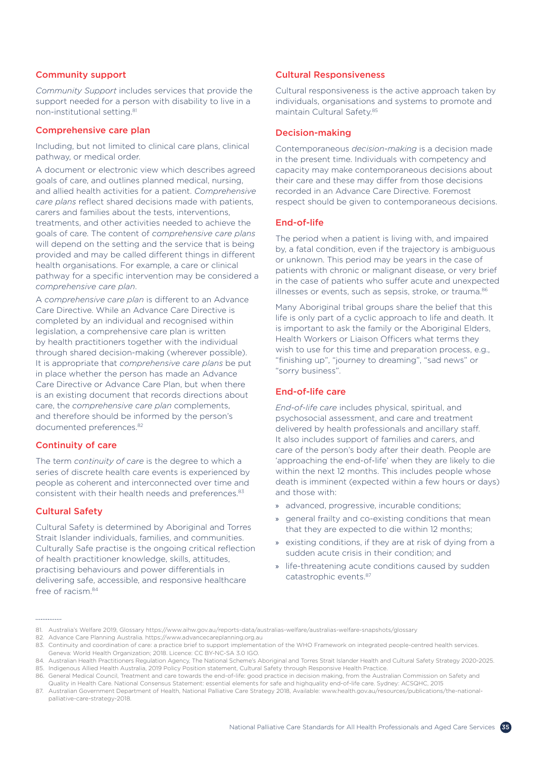### Community support

*Community Support* includes services that provide the support needed for a person with disability to live in a non-institutional setting.<sup>81</sup>

### Comprehensive care plan

Including, but not limited to clinical care plans, clinical pathway, or medical order.

A document or electronic view which describes agreed goals of care, and outlines planned medical, nursing, and allied health activities for a patient. *Comprehensive care plans* reflect shared decisions made with patients, carers and families about the tests, interventions, treatments, and other activities needed to achieve the goals of care. The content of *comprehensive care plans* will depend on the setting and the service that is being provided and may be called different things in different health organisations. For example, a care or clinical pathway for a specific intervention may be considered a *comprehensive care plan*.

A *comprehensive care plan* is different to an Advance Care Directive. While an Advance Care Directive is completed by an individual and recognised within legislation, a comprehensive care plan is written by health practitioners together with the individual through shared decision-making (wherever possible). It is appropriate that *comprehensive care plans* be put in place whether the person has made an Advance Care Directive or Advance Care Plan, but when there is an existing document that records directions about care, the *comprehensive care plan* complements, and therefore should be informed by the person's documented preferences.<sup>82</sup>

### Continuity of care

The term *continuity of care* is the degree to which a series of discrete health care events is experienced by people as coherent and interconnected over time and consistent with their health needs and preferences.<sup>83</sup>

### Cultural Safety

Cultural Safety is determined by Aboriginal and Torres Strait Islander individuals, families, and communities. Culturally Safe practise is the ongoing critical reflection of health practitioner knowledge, skills, attitudes, practising behaviours and power differentials in delivering safe, accessible, and responsive healthcare free of racism<sup>84</sup>

### Cultural Responsiveness

Cultural responsiveness is the active approach taken by individuals, organisations and systems to promote and maintain Cultural Safety.<sup>85</sup>

### Decision-making

Contemporaneous *decision-making* is a decision made in the present time. Individuals with competency and capacity may make contemporaneous decisions about their care and these may differ from those decisions recorded in an Advance Care Directive. Foremost respect should be given to contemporaneous decisions.

### End-of-life

The period when a patient is living with, and impaired by, a fatal condition, even if the trajectory is ambiguous or unknown. This period may be years in the case of patients with chronic or malignant disease, or very brief in the case of patients who suffer acute and unexpected illnesses or events, such as sepsis, stroke, or trauma.<sup>86</sup>

Many Aboriginal tribal groups share the belief that this life is only part of a cyclic approach to life and death. It is important to ask the family or the Aboriginal Elders, Health Workers or Liaison Officers what terms they wish to use for this time and preparation process, e.g., "finishing up", "journey to dreaming", "sad news" or "sorry business".

### End-of-life care

*End-of-life care* includes physical, spiritual, and psychosocial assessment, and care and treatment delivered by health professionals and ancillary staff. It also includes support of families and carers, and care of the person's body after their death. People are 'approaching the end-of-life' when they are likely to die within the next 12 months. This includes people whose death is imminent (expected within a few hours or days) and those with:

- » advanced, progressive, incurable conditions;
- » general frailty and co-existing conditions that mean that they are expected to die within 12 months;
- » existing conditions, if they are at risk of dying from a sudden acute crisis in their condition; and
- » life-threatening acute conditions caused by sudden catastrophic events.87

<sup>81.</sup> Australia's Welfare 2019, Glossary https://www.aihw.gov.au/reports-data/australias-welfare/australias-welfare-snapshots/glossary

<sup>82.</sup> Advance Care Planning Australia. https://www.advancecareplanning.org.au

<sup>83.</sup> Continuity and coordination of care: a practice brief to support implementation of the WHO Framework on integrated people-centred health services. Geneva: World Health Organization; 2018. Licence: CC BY-NC-SA 3.0 IGO.

<sup>84.</sup> Australian Health Practitioners Regulation Agency, The National Scheme's Aboriginal and Torres Strait Islander Health and Cultural Safety Strategy 2020-2025. 85. Indigenous Allied Health Australia, 2019 Policy Position statement, Cultural Safety through Responsive Health Practice.

<sup>86.</sup> General Medical Council, Treatment and care towards the end-of-life: good practice in decision making, from the Australian Commission on Safety and

Quality in Health Care. National Consensus Statement: essential elements for safe and highquality end-of-life care. Sydney: ACSQHC, 2015

<sup>87.</sup> Australian Government Department of Health, National Palliative Care Strategy 2018, Available: www.health.gov.au/resources/publications/the-nationalpalliative-care-strategy-2018.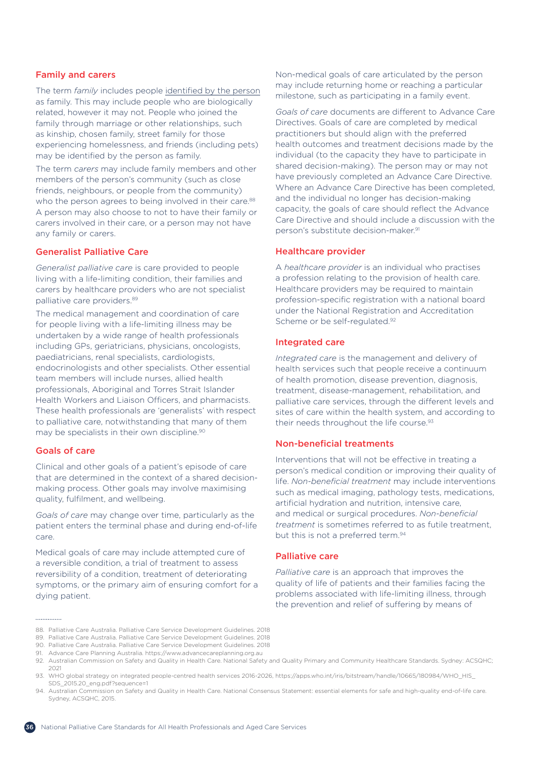### Family and carers

The term *family* includes people identified by the person as family. This may include people who are biologically related, however it may not. People who joined the family through marriage or other relationships, such as kinship, chosen family, street family for those experiencing homelessness, and friends (including pets) may be identified by the person as family.

The term *carers* may include family members and other members of the person's community (such as close friends, neighbours, or people from the community) who the person agrees to being involved in their care.<sup>88</sup> A person may also choose to not to have their family or carers involved in their care, or a person may not have any family or carers.

### Generalist Palliative Care

*Generalist palliative care* is care provided to people living with a life-limiting condition, their families and carers by healthcare providers who are not specialist palliative care providers. 89

The medical management and coordination of care for people living with a life-limiting illness may be undertaken by a wide range of health professionals including GPs, geriatricians, physicians, oncologists, paediatricians, renal specialists, cardiologists, endocrinologists and other specialists. Other essential team members will include nurses, allied health professionals, Aboriginal and Torres Strait Islander Health Workers and Liaison Officers, and pharmacists. These health professionals are 'generalists' with respect to palliative care, notwithstanding that many of them may be specialists in their own discipline.<sup>90</sup>

### Goals of care

Clinical and other goals of a patient's episode of care that are determined in the context of a shared decisionmaking process. Other goals may involve maximising quality, fulfilment, and wellbeing.

*Goals of care* may change over time, particularly as the patient enters the terminal phase and during end-of-life care.

Medical goals of care may include attempted cure of a reversible condition, a trial of treatment to assess reversibility of a condition, treatment of deteriorating symptoms, or the primary aim of ensuring comfort for a dying patient.

Non-medical goals of care articulated by the person may include returning home or reaching a particular milestone, such as participating in a family event.

*Goals of care* documents are different to Advance Care Directives. Goals of care are completed by medical practitioners but should align with the preferred health outcomes and treatment decisions made by the individual (to the capacity they have to participate in shared decision-making). The person may or may not have previously completed an Advance Care Directive. Where an Advance Care Directive has been completed, and the individual no longer has decision-making capacity, the goals of care should reflect the Advance Care Directive and should include a discussion with the person's substitute decision-maker.<sup>91</sup>

### Healthcare provider

A *healthcare provider* is an individual who practises a profession relating to the provision of health care. Healthcare providers may be required to maintain profession-specific registration with a national board under the National Registration and Accreditation Scheme or be self-regulated.<sup>92</sup>

### Integrated care

*Integrated care* is the management and delivery of health services such that people receive a continuum of health promotion, disease prevention, diagnosis, treatment, disease-management, rehabilitation, and palliative care services, through the different levels and sites of care within the health system, and according to their needs throughout the life course.<sup>93</sup>

### Non-beneficial treatments

Interventions that will not be effective in treating a person's medical condition or improving their quality of life. *Non-beneficial treatment* may include interventions such as medical imaging, pathology tests, medications, artificial hydration and nutrition, intensive care, and medical or surgical procedures. *Non-beneficial treatment* is sometimes referred to as futile treatment, but this is not a preferred term.<sup>94</sup>

### Palliative care

*Palliative care* is an approach that improves the quality of life of patients and their families facing the problems associated with life-limiting illness, through the prevention and relief of suffering by means of

90. Palliative Care Australia. Palliative Care Service Development Guidelines. 2018



<sup>88.</sup> Palliative Care Australia. Palliative Care Service Development Guidelines. 2018

<sup>89.</sup> Palliative Care Australia. Palliative Care Service Development Guidelines. 2018

<sup>91.</sup> Advance Care Planning Australia. https://www.advancecareplanning.org.au

<sup>92.</sup> Australian Commission on Safety and Quality in Health Care. National Safety and Quality Primary and Community Healthcare Standards. Sydney: ACSQHC; 2021

<sup>93.</sup> WHO global strategy on integrated people-centred health services 2016-2026, https://apps.who.int/iris/bitstream/handle/10665/180984/WHO\_HIS\_ SDS\_2015.20\_eng.pdf?sequence=1

<sup>94.</sup> Australian Commission on Safety and Quality in Health Care. National Consensus Statement: essential elements for safe and high-quality end-of-life care. Sydney, ACSQHC, 2015.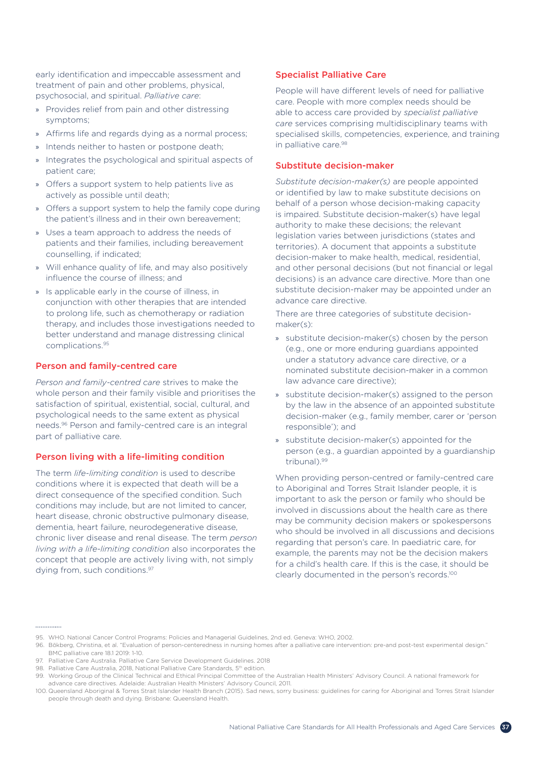early identification and impeccable assessment and treatment of pain and other problems, physical, psychosocial, and spiritual. *Palliative care*:

- » Provides relief from pain and other distressing symptoms;
- » Affirms life and regards dying as a normal process;
- » Intends neither to hasten or postpone death;
- » Integrates the psychological and spiritual aspects of patient care;
- » Offers a support system to help patients live as actively as possible until death;
- » Offers a support system to help the family cope during the patient's illness and in their own bereavement;
- » Uses a team approach to address the needs of patients and their families, including bereavement counselling, if indicated;
- » Will enhance quality of life, and may also positively influence the course of illness; and
- » Is applicable early in the course of illness, in conjunction with other therapies that are intended to prolong life, such as chemotherapy or radiation therapy, and includes those investigations needed to better understand and manage distressing clinical complications.<sup>95</sup>

### Person and family-centred care

*Person and family-centred care* strives to make the whole person and their family visible and prioritises the satisfaction of spiritual, existential, social, cultural, and psychological needs to the same extent as physical needs.96 Person and family-centred care is an integral part of palliative care.

### Person living with a life-limiting condition

The term *life-limiting condition* is used to describe conditions where it is expected that death will be a direct consequence of the specified condition. Such conditions may include, but are not limited to cancer, heart disease, chronic obstructive pulmonary disease, dementia, heart failure, neurodegenerative disease, chronic liver disease and renal disease. The term *person living with a life-limiting condition* also incorporates the concept that people are actively living with, not simply dying from, such conditions.<sup>97</sup>

### Specialist Palliative Care

People will have different levels of need for palliative care. People with more complex needs should be able to access care provided by *specialist palliative care* services comprising multidisciplinary teams with specialised skills, competencies, experience, and training in palliative care.98

### Substitute decision-maker

*Substitute decision-maker(s)* are people appointed or identified by law to make substitute decisions on behalf of a person whose decision-making capacity is impaired. Substitute decision-maker(s) have legal authority to make these decisions; the relevant legislation varies between jurisdictions (states and territories). A document that appoints a substitute decision-maker to make health, medical, residential, and other personal decisions (but not financial or legal decisions) is an advance care directive. More than one substitute decision-maker may be appointed under an advance care directive.

There are three categories of substitute decisionmaker(s):

- » substitute decision-maker(s) chosen by the person (e.g., one or more enduring guardians appointed under a statutory advance care directive, or a nominated substitute decision-maker in a common law advance care directive);
- » substitute decision-maker(s) assigned to the person by the law in the absence of an appointed substitute decision-maker (e.g., family member, carer or 'person responsible'); and
- » substitute decision-maker(s) appointed for the person (e.g., a guardian appointed by a guardianship tribunal).99

When providing person-centred or family-centred care to Aboriginal and Torres Strait Islander people, it is important to ask the person or family who should be involved in discussions about the health care as there may be community decision makers or spokespersons who should be involved in all discussions and decisions regarding that person's care. In paediatric care, for example, the parents may not be the decision makers for a child's health care. If this is the case, it should be clearly documented in the person's records.<sup>100</sup>

<sup>95.</sup> WHO. National Cancer Control Programs: Policies and Managerial Guidelines, 2nd ed. Geneva: WHO, 2002.

<sup>96.</sup> Bökberg, Christina, et al. "Evaluation of person-centeredness in nursing homes after a palliative care intervention: pre-and post-test experimental design." BMC palliative care 18.1 2019: 1-10.

<sup>97.</sup> Palliative Care Australia. Palliative Care Service Development Guidelines. 2018

<sup>98.</sup> Palliative Care Australia, 2018, National Palliative Care Standards, 5<sup>th</sup> edition

<sup>99.</sup> Working Group of the Clinical Technical and Ethical Principal Committee of the Australian Health Ministers' Advisory Council. A national framework for advance care directives. Adelaide: Australian Health Ministers' Advisory Council, 2011.

<sup>100.</sup> Queensland Aboriginal & Torres Strait Islander Health Branch (2015). Sad news, sorry business: guidelines for caring for Aboriginal and Torres Strait Islander people through death and dying. Brisbane: Queensland Health.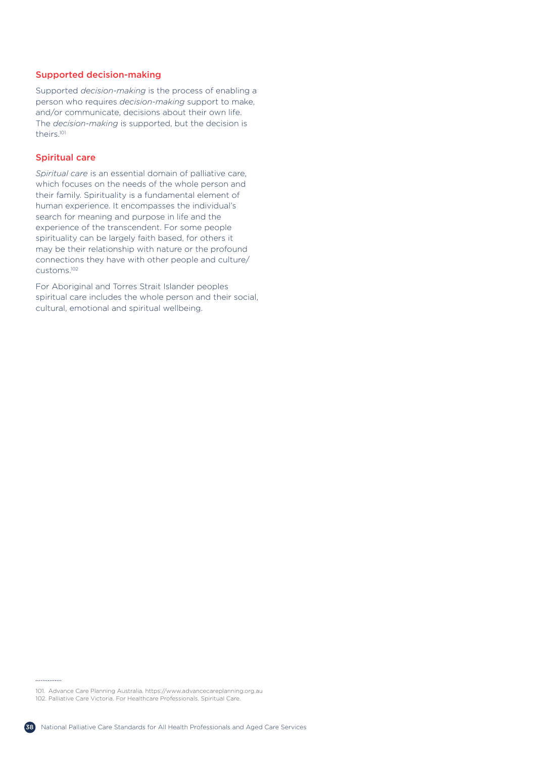### Supported decision-making

Supported *decision-making* is the process of enabling a person who requires *decision-making* support to make, and/or communicate, decisions about their own life. The *decision-making* is supported, but the decision is theirs.<sup>101</sup>

### Spiritual care

*Spiritual care* is an essential domain of palliative care, which focuses on the needs of the whole person and their family. Spirituality is a fundamental element of human experience. It encompasses the individual's search for meaning and purpose in life and the experience of the transcendent. For some people spirituality can be largely faith based, for others it may be their relationship with nature or the profound connections they have with other people and culture/ customs.<sup>102</sup>

For Aboriginal and Torres Strait Islander peoples spiritual care includes the whole person and their social, cultural, emotional and spiritual wellbeing.

101. Advance Care Planning Australia. https://www.advancecareplanning.org.au 102. Palliative Care Victoria. For Healthcare Professionals. Spiritual Care.